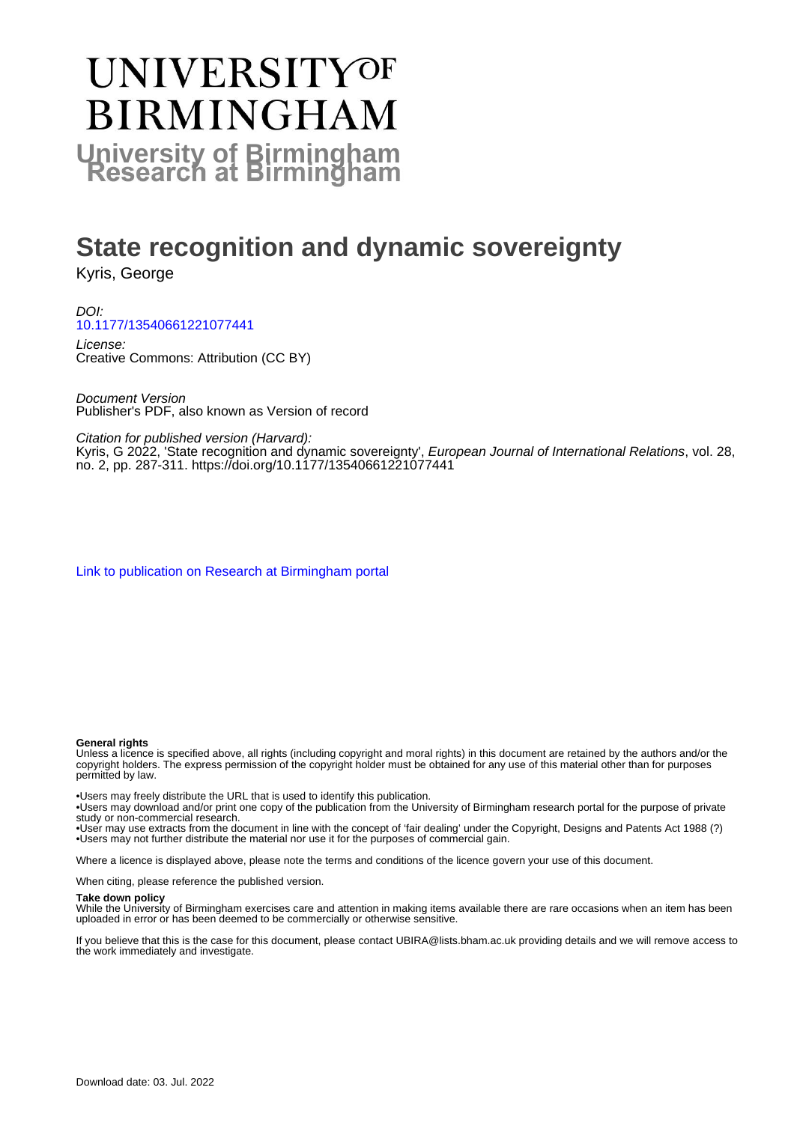# **UNIVERSITYOF BIRMINGHAM University of Birmingham**

# **State recognition and dynamic sovereignty**

Kyris, George

DOI: [10.1177/13540661221077441](https://doi.org/10.1177/13540661221077441)

License: Creative Commons: Attribution (CC BY)

Document Version Publisher's PDF, also known as Version of record

Citation for published version (Harvard):

Kyris, G 2022, 'State recognition and dynamic sovereignty', *European Journal of International Relations*, vol. 28, no. 2, pp. 287-311. <https://doi.org/10.1177/13540661221077441>

[Link to publication on Research at Birmingham portal](https://birmingham.elsevierpure.com/en/publications/e42e59ea-7d0b-4407-8c77-5945143b427a)

#### **General rights**

Unless a licence is specified above, all rights (including copyright and moral rights) in this document are retained by the authors and/or the copyright holders. The express permission of the copyright holder must be obtained for any use of this material other than for purposes permitted by law.

• Users may freely distribute the URL that is used to identify this publication.

• Users may download and/or print one copy of the publication from the University of Birmingham research portal for the purpose of private study or non-commercial research.

• User may use extracts from the document in line with the concept of 'fair dealing' under the Copyright, Designs and Patents Act 1988 (?) • Users may not further distribute the material nor use it for the purposes of commercial gain.

Where a licence is displayed above, please note the terms and conditions of the licence govern your use of this document.

When citing, please reference the published version.

#### **Take down policy**

While the University of Birmingham exercises care and attention in making items available there are rare occasions when an item has been uploaded in error or has been deemed to be commercially or otherwise sensitive.

If you believe that this is the case for this document, please contact UBIRA@lists.bham.ac.uk providing details and we will remove access to the work immediately and investigate.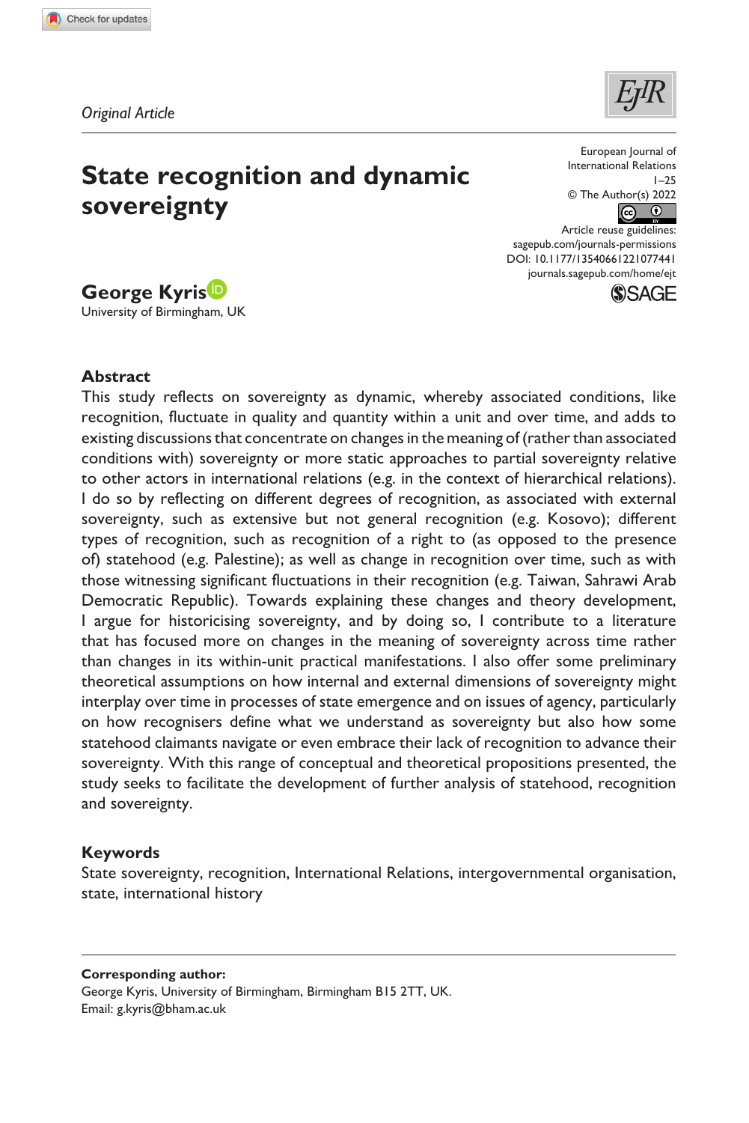**1077[441](http://crossmark.crossref.org/dialog/?doi=10.1177%2F13540661221077441&domain=pdf&date_stamp=2022-02-22)** EJT0010.1177/13540661221077441European Journal of International Relations**Kyris**

*Original Article*



# **State recognition and dynamic sovereignty**

European Journal of International Relations 1–25 © The Author(s) 2022  $\odot$   $\odot$ 

DOI: 10.1177/13540661221077441 Article reuse guidelines: [sagepub.com/journals-permissions](https://uk.sagepub.com/en-gb/journals-permissions) [journals.sagepub.com/home/ejt](https://journals.sagepub.com/home/ejt
)



# **George Kyris**

University of Birmingham, UK

#### **Abstract**

This study reflects on sovereignty as dynamic, whereby associated conditions, like recognition, fluctuate in quality and quantity within a unit and over time, and adds to existing discussions that concentrate on changes in the meaning of (rather than associated conditions with) sovereignty or more static approaches to partial sovereignty relative to other actors in international relations (e.g. in the context of hierarchical relations). I do so by reflecting on different degrees of recognition, as associated with external sovereignty, such as extensive but not general recognition (e.g. Kosovo); different types of recognition, such as recognition of a right to (as opposed to the presence of) statehood (e.g. Palestine); as well as change in recognition over time, such as with those witnessing significant fluctuations in their recognition (e.g. Taiwan, Sahrawi Arab Democratic Republic). Towards explaining these changes and theory development, I argue for historicising sovereignty, and by doing so, I contribute to a literature that has focused more on changes in the meaning of sovereignty across time rather than changes in its within-unit practical manifestations. I also offer some preliminary theoretical assumptions on how internal and external dimensions of sovereignty might interplay over time in processes of state emergence and on issues of agency, particularly on how recognisers define what we understand as sovereignty but also how some statehood claimants navigate or even embrace their lack of recognition to advance their sovereignty. With this range of conceptual and theoretical propositions presented, the study seeks to facilitate the development of further analysis of statehood, recognition and sovereignty.

#### **Keywords**

State sovereignty, recognition, International Relations, intergovernmental organisation, state, international history

#### **Corresponding author:**

George Kyris, University of Birmingham, Birmingham B15 2TT, UK. Email: [g.kyris@bham.ac.uk](mailto:g.kyris@bham.ac.uk)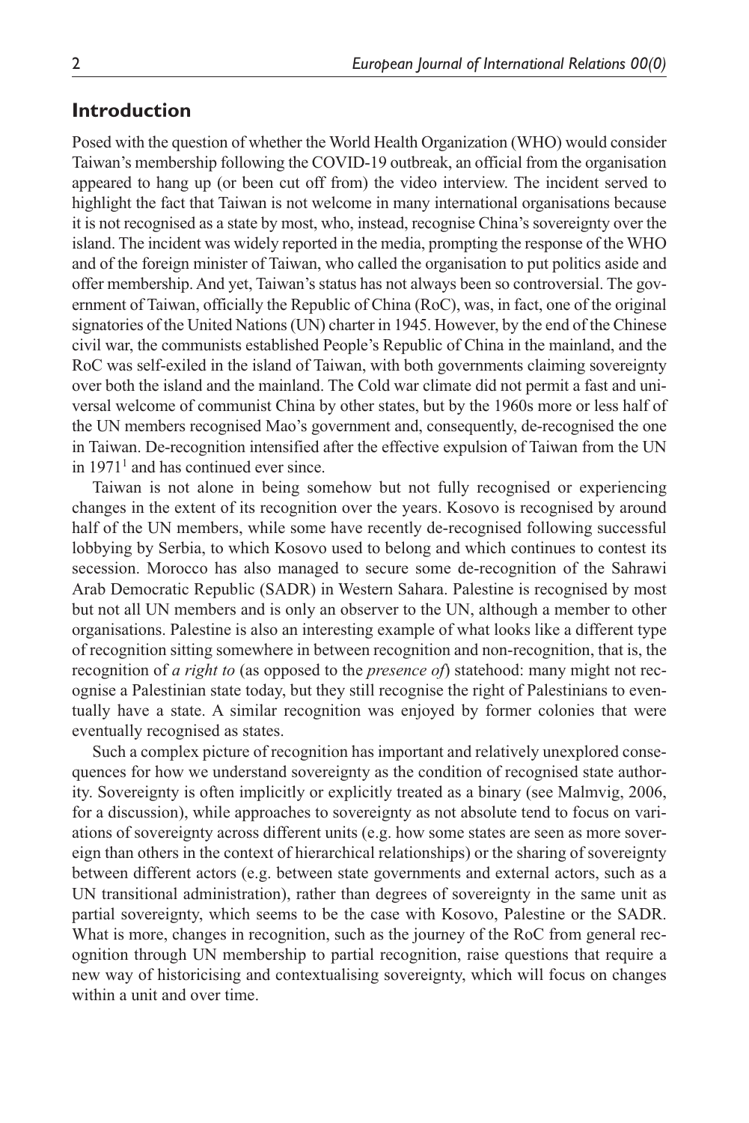## **Introduction**

Posed with the question of whether the World Health Organization (WHO) would consider Taiwan's membership following the COVID-19 outbreak, an official from the organisation appeared to hang up (or been cut off from) the video interview. The incident served to highlight the fact that Taiwan is not welcome in many international organisations because it is not recognised as a state by most, who, instead, recognise China's sovereignty over the island. The incident was widely reported in the media, prompting the response of the WHO and of the foreign minister of Taiwan, who called the organisation to put politics aside and offer membership. And yet, Taiwan's status has not always been so controversial. The government of Taiwan, officially the Republic of China (RoC), was, in fact, one of the original signatories of the United Nations (UN) charter in 1945. However, by the end of the Chinese civil war, the communists established People's Republic of China in the mainland, and the RoC was self-exiled in the island of Taiwan, with both governments claiming sovereignty over both the island and the mainland. The Cold war climate did not permit a fast and universal welcome of communist China by other states, but by the 1960s more or less half of the UN members recognised Mao's government and, consequently, de-recognised the one in Taiwan. De-recognition intensified after the effective expulsion of Taiwan from the UN in  $1971<sup>1</sup>$  and has continued ever since.

Taiwan is not alone in being somehow but not fully recognised or experiencing changes in the extent of its recognition over the years. Kosovo is recognised by around half of the UN members, while some have recently de-recognised following successful lobbying by Serbia, to which Kosovo used to belong and which continues to contest its secession. Morocco has also managed to secure some de-recognition of the Sahrawi Arab Democratic Republic (SADR) in Western Sahara. Palestine is recognised by most but not all UN members and is only an observer to the UN, although a member to other organisations. Palestine is also an interesting example of what looks like a different type of recognition sitting somewhere in between recognition and non-recognition, that is, the recognition of *a right to* (as opposed to the *presence of*) statehood: many might not recognise a Palestinian state today, but they still recognise the right of Palestinians to eventually have a state. A similar recognition was enjoyed by former colonies that were eventually recognised as states.

Such a complex picture of recognition has important and relatively unexplored consequences for how we understand sovereignty as the condition of recognised state authority. Sovereignty is often implicitly or explicitly treated as a binary (see Malmvig, 2006, for a discussion), while approaches to sovereignty as not absolute tend to focus on variations of sovereignty across different units (e.g. how some states are seen as more sovereign than others in the context of hierarchical relationships) or the sharing of sovereignty between different actors (e.g. between state governments and external actors, such as a UN transitional administration), rather than degrees of sovereignty in the same unit as partial sovereignty, which seems to be the case with Kosovo, Palestine or the SADR. What is more, changes in recognition, such as the journey of the RoC from general recognition through UN membership to partial recognition, raise questions that require a new way of historicising and contextualising sovereignty, which will focus on changes within a unit and over time.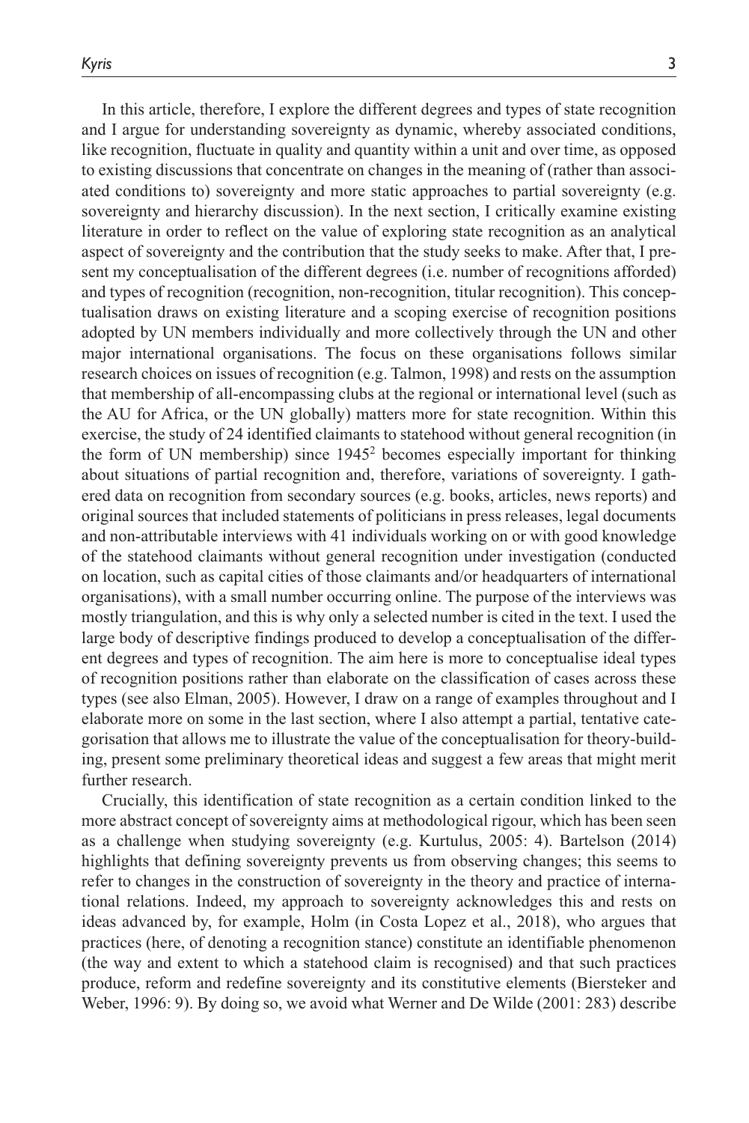In this article, therefore, I explore the different degrees and types of state recognition and I argue for understanding sovereignty as dynamic, whereby associated conditions, like recognition, fluctuate in quality and quantity within a unit and over time, as opposed to existing discussions that concentrate on changes in the meaning of (rather than associated conditions to) sovereignty and more static approaches to partial sovereignty (e.g. sovereignty and hierarchy discussion). In the next section, I critically examine existing literature in order to reflect on the value of exploring state recognition as an analytical aspect of sovereignty and the contribution that the study seeks to make. After that, I present my conceptualisation of the different degrees (i.e. number of recognitions afforded) and types of recognition (recognition, non-recognition, titular recognition). This conceptualisation draws on existing literature and a scoping exercise of recognition positions adopted by UN members individually and more collectively through the UN and other major international organisations. The focus on these organisations follows similar research choices on issues of recognition (e.g. Talmon, 1998) and rests on the assumption that membership of all-encompassing clubs at the regional or international level (such as the AU for Africa, or the UN globally) matters more for state recognition. Within this exercise, the study of 24 identified claimants to statehood without general recognition (in the form of UN membership) since 19452 becomes especially important for thinking about situations of partial recognition and, therefore, variations of sovereignty. I gathered data on recognition from secondary sources (e.g. books, articles, news reports) and original sources that included statements of politicians in press releases, legal documents and non-attributable interviews with 41 individuals working on or with good knowledge of the statehood claimants without general recognition under investigation (conducted on location, such as capital cities of those claimants and/or headquarters of international organisations), with a small number occurring online. The purpose of the interviews was mostly triangulation, and this is why only a selected number is cited in the text. I used the large body of descriptive findings produced to develop a conceptualisation of the different degrees and types of recognition. The aim here is more to conceptualise ideal types of recognition positions rather than elaborate on the classification of cases across these types (see also Elman, 2005). However, I draw on a range of examples throughout and I elaborate more on some in the last section, where I also attempt a partial, tentative categorisation that allows me to illustrate the value of the conceptualisation for theory-building, present some preliminary theoretical ideas and suggest a few areas that might merit further research.

Crucially, this identification of state recognition as a certain condition linked to the more abstract concept of sovereignty aims at methodological rigour, which has been seen as a challenge when studying sovereignty (e.g. Kurtulus, 2005: 4). Bartelson (2014) highlights that defining sovereignty prevents us from observing changes; this seems to refer to changes in the construction of sovereignty in the theory and practice of international relations. Indeed, my approach to sovereignty acknowledges this and rests on ideas advanced by, for example, Holm (in Costa Lopez et al., 2018), who argues that practices (here, of denoting a recognition stance) constitute an identifiable phenomenon (the way and extent to which a statehood claim is recognised) and that such practices produce, reform and redefine sovereignty and its constitutive elements (Biersteker and Weber, 1996: 9). By doing so, we avoid what Werner and De Wilde (2001: 283) describe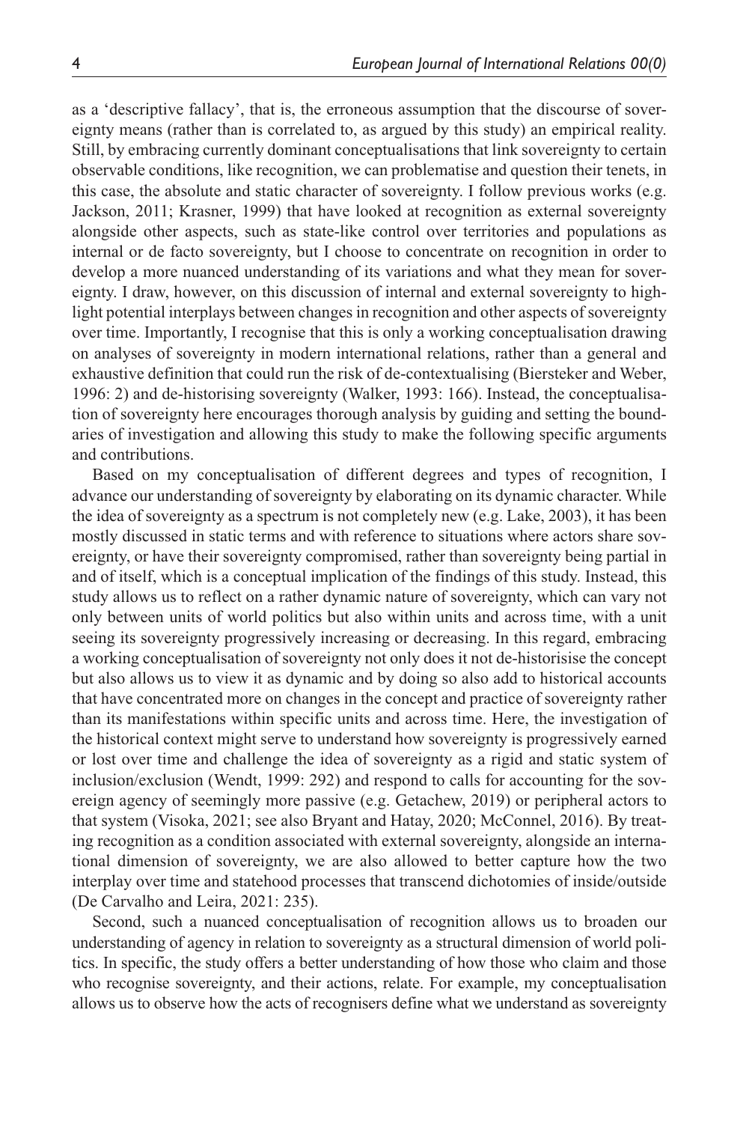as a 'descriptive fallacy', that is, the erroneous assumption that the discourse of sovereignty means (rather than is correlated to, as argued by this study) an empirical reality. Still, by embracing currently dominant conceptualisations that link sovereignty to certain observable conditions, like recognition, we can problematise and question their tenets, in this case, the absolute and static character of sovereignty. I follow previous works (e.g. Jackson, 2011; Krasner, 1999) that have looked at recognition as external sovereignty alongside other aspects, such as state-like control over territories and populations as internal or de facto sovereignty, but I choose to concentrate on recognition in order to develop a more nuanced understanding of its variations and what they mean for sovereignty. I draw, however, on this discussion of internal and external sovereignty to highlight potential interplays between changes in recognition and other aspects of sovereignty over time. Importantly, I recognise that this is only a working conceptualisation drawing on analyses of sovereignty in modern international relations, rather than a general and exhaustive definition that could run the risk of de-contextualising (Biersteker and Weber, 1996: 2) and de-historising sovereignty (Walker, 1993: 166). Instead, the conceptualisation of sovereignty here encourages thorough analysis by guiding and setting the boundaries of investigation and allowing this study to make the following specific arguments and contributions.

Based on my conceptualisation of different degrees and types of recognition, I advance our understanding of sovereignty by elaborating on its dynamic character. While the idea of sovereignty as a spectrum is not completely new (e.g. Lake, 2003), it has been mostly discussed in static terms and with reference to situations where actors share sovereignty, or have their sovereignty compromised, rather than sovereignty being partial in and of itself, which is a conceptual implication of the findings of this study. Instead, this study allows us to reflect on a rather dynamic nature of sovereignty, which can vary not only between units of world politics but also within units and across time, with a unit seeing its sovereignty progressively increasing or decreasing. In this regard, embracing a working conceptualisation of sovereignty not only does it not de-historisise the concept but also allows us to view it as dynamic and by doing so also add to historical accounts that have concentrated more on changes in the concept and practice of sovereignty rather than its manifestations within specific units and across time. Here, the investigation of the historical context might serve to understand how sovereignty is progressively earned or lost over time and challenge the idea of sovereignty as a rigid and static system of inclusion/exclusion (Wendt, 1999: 292) and respond to calls for accounting for the sovereign agency of seemingly more passive (e.g. Getachew, 2019) or peripheral actors to that system (Visoka, 2021; see also Bryant and Hatay, 2020; McConnel, 2016). By treating recognition as a condition associated with external sovereignty, alongside an international dimension of sovereignty, we are also allowed to better capture how the two interplay over time and statehood processes that transcend dichotomies of inside/outside (De Carvalho and Leira, 2021: 235).

Second, such a nuanced conceptualisation of recognition allows us to broaden our understanding of agency in relation to sovereignty as a structural dimension of world politics. In specific, the study offers a better understanding of how those who claim and those who recognise sovereignty, and their actions, relate. For example, my conceptualisation allows us to observe how the acts of recognisers define what we understand as sovereignty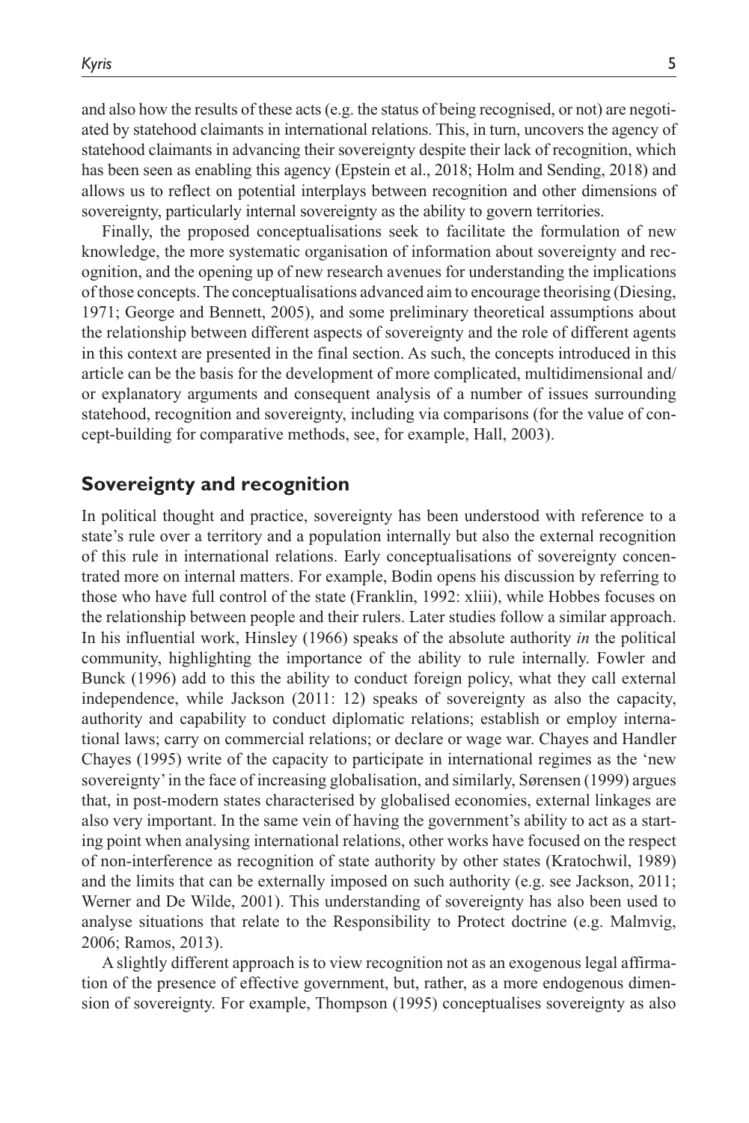and also how the results of these acts (e.g. the status of being recognised, or not) are negotiated by statehood claimants in international relations. This, in turn, uncovers the agency of statehood claimants in advancing their sovereignty despite their lack of recognition, which has been seen as enabling this agency (Epstein et al., 2018; Holm and Sending, 2018) and allows us to reflect on potential interplays between recognition and other dimensions of sovereignty, particularly internal sovereignty as the ability to govern territories.

Finally, the proposed conceptualisations seek to facilitate the formulation of new knowledge, the more systematic organisation of information about sovereignty and recognition, and the opening up of new research avenues for understanding the implications of those concepts. The conceptualisations advanced aim to encourage theorising (Diesing, 1971; George and Bennett, 2005), and some preliminary theoretical assumptions about the relationship between different aspects of sovereignty and the role of different agents in this context are presented in the final section. As such, the concepts introduced in this article can be the basis for the development of more complicated, multidimensional and/ or explanatory arguments and consequent analysis of a number of issues surrounding statehood, recognition and sovereignty, including via comparisons (for the value of concept-building for comparative methods, see, for example, Hall, 2003).

## **Sovereignty and recognition**

In political thought and practice, sovereignty has been understood with reference to a state's rule over a territory and a population internally but also the external recognition of this rule in international relations. Early conceptualisations of sovereignty concentrated more on internal matters. For example, Bodin opens his discussion by referring to those who have full control of the state (Franklin, 1992: xliii), while Hobbes focuses on the relationship between people and their rulers. Later studies follow a similar approach. In his influential work, Hinsley (1966) speaks of the absolute authority *in* the political community, highlighting the importance of the ability to rule internally. Fowler and Bunck (1996) add to this the ability to conduct foreign policy, what they call external independence, while Jackson (2011: 12) speaks of sovereignty as also the capacity, authority and capability to conduct diplomatic relations; establish or employ international laws; carry on commercial relations; or declare or wage war. Chayes and Handler Chayes (1995) write of the capacity to participate in international regimes as the 'new sovereignty' in the face of increasing globalisation, and similarly, Sørensen (1999) argues that, in post-modern states characterised by globalised economies, external linkages are also very important. In the same vein of having the government's ability to act as a starting point when analysing international relations, other works have focused on the respect of non-interference as recognition of state authority by other states (Kratochwil, 1989) and the limits that can be externally imposed on such authority (e.g. see Jackson, 2011; Werner and De Wilde, 2001). This understanding of sovereignty has also been used to analyse situations that relate to the Responsibility to Protect doctrine (e.g. Malmvig, 2006; Ramos, 2013).

A slightly different approach is to view recognition not as an exogenous legal affirmation of the presence of effective government, but, rather, as a more endogenous dimension of sovereignty. For example, Thompson (1995) conceptualises sovereignty as also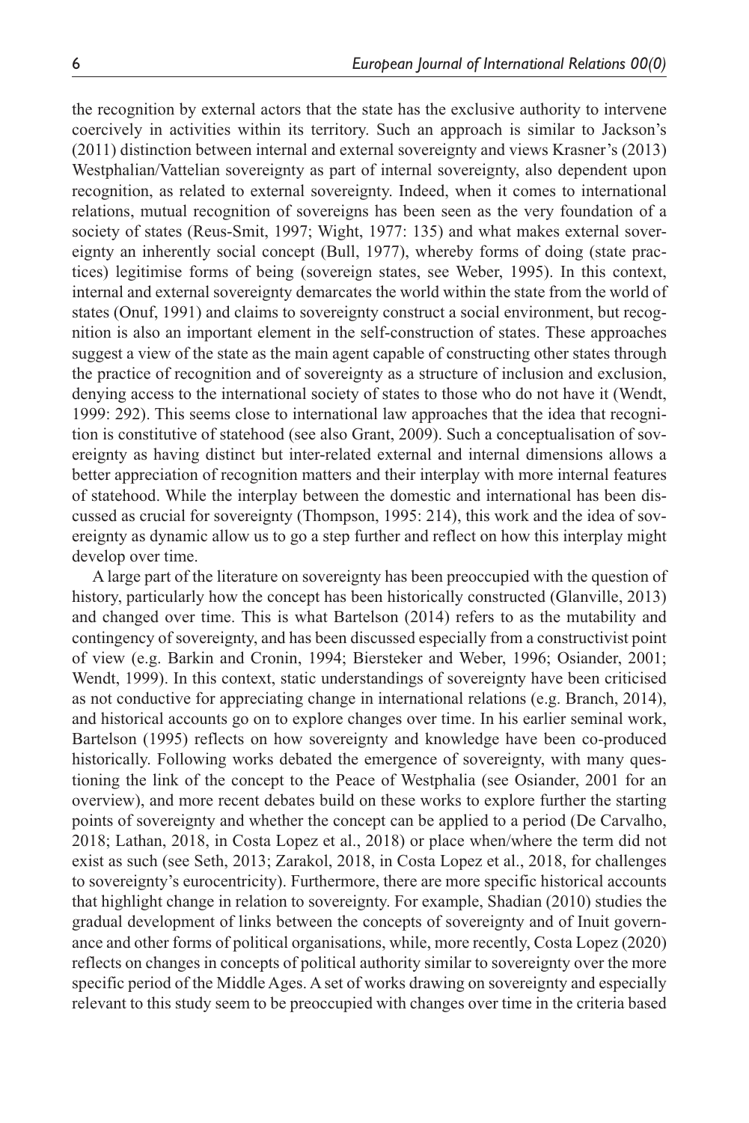the recognition by external actors that the state has the exclusive authority to intervene coercively in activities within its territory. Such an approach is similar to Jackson's (2011) distinction between internal and external sovereignty and views Krasner's (2013) Westphalian/Vattelian sovereignty as part of internal sovereignty, also dependent upon recognition, as related to external sovereignty. Indeed, when it comes to international relations, mutual recognition of sovereigns has been seen as the very foundation of a society of states (Reus-Smit, 1997; Wight, 1977: 135) and what makes external sovereignty an inherently social concept (Bull, 1977), whereby forms of doing (state practices) legitimise forms of being (sovereign states, see Weber, 1995). In this context, internal and external sovereignty demarcates the world within the state from the world of states (Onuf, 1991) and claims to sovereignty construct a social environment, but recognition is also an important element in the self-construction of states. These approaches suggest a view of the state as the main agent capable of constructing other states through the practice of recognition and of sovereignty as a structure of inclusion and exclusion, denying access to the international society of states to those who do not have it (Wendt, 1999: 292). This seems close to international law approaches that the idea that recognition is constitutive of statehood (see also Grant, 2009). Such a conceptualisation of sovereignty as having distinct but inter-related external and internal dimensions allows a better appreciation of recognition matters and their interplay with more internal features of statehood. While the interplay between the domestic and international has been discussed as crucial for sovereignty (Thompson, 1995: 214), this work and the idea of sovereignty as dynamic allow us to go a step further and reflect on how this interplay might develop over time.

A large part of the literature on sovereignty has been preoccupied with the question of history, particularly how the concept has been historically constructed (Glanville, 2013) and changed over time. This is what Bartelson (2014) refers to as the mutability and contingency of sovereignty, and has been discussed especially from a constructivist point of view (e.g. Barkin and Cronin, 1994; Biersteker and Weber, 1996; Osiander, 2001; Wendt, 1999). In this context, static understandings of sovereignty have been criticised as not conductive for appreciating change in international relations (e.g. Branch, 2014), and historical accounts go on to explore changes over time. In his earlier seminal work, Bartelson (1995) reflects on how sovereignty and knowledge have been co-produced historically. Following works debated the emergence of sovereignty, with many questioning the link of the concept to the Peace of Westphalia (see Osiander, 2001 for an overview), and more recent debates build on these works to explore further the starting points of sovereignty and whether the concept can be applied to a period (De Carvalho, 2018; Lathan, 2018, in Costa Lopez et al., 2018) or place when/where the term did not exist as such (see Seth, 2013; Zarakol, 2018, in Costa Lopez et al., 2018, for challenges to sovereignty's eurocentricity). Furthermore, there are more specific historical accounts that highlight change in relation to sovereignty. For example, Shadian (2010) studies the gradual development of links between the concepts of sovereignty and of Inuit governance and other forms of political organisations, while, more recently, Costa Lopez (2020) reflects on changes in concepts of political authority similar to sovereignty over the more specific period of the Middle Ages. A set of works drawing on sovereignty and especially relevant to this study seem to be preoccupied with changes over time in the criteria based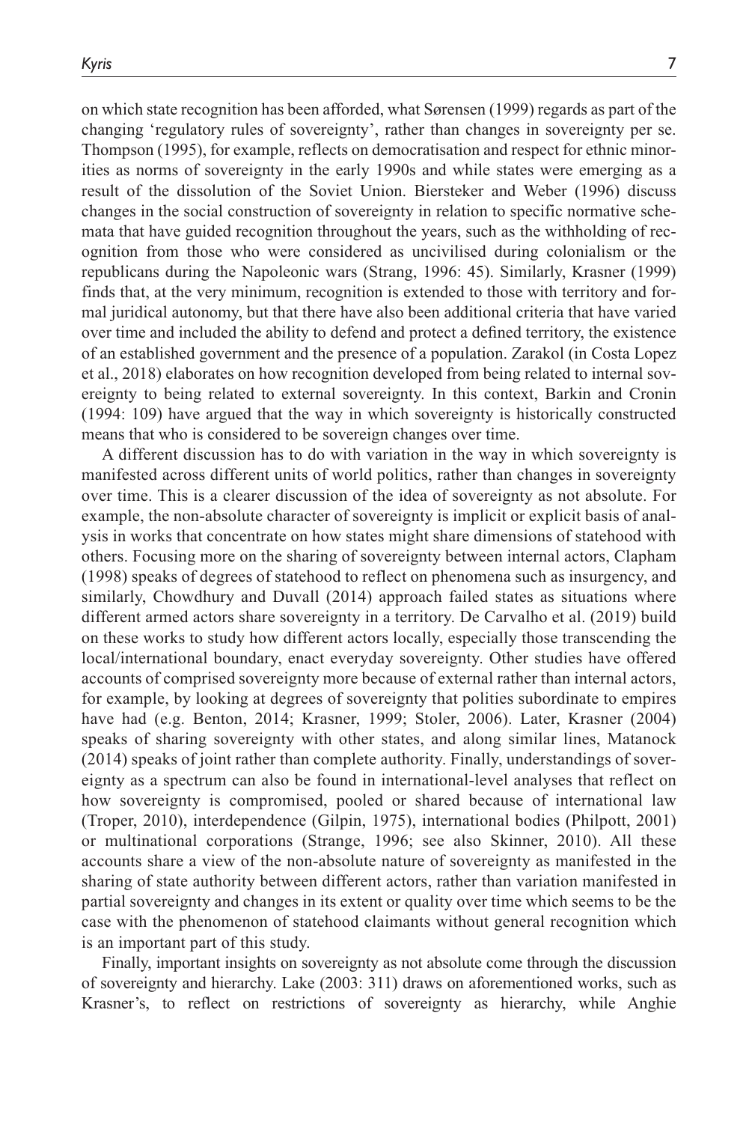on which state recognition has been afforded, what Sørensen (1999) regards as part of the changing 'regulatory rules of sovereignty', rather than changes in sovereignty per se. Thompson (1995), for example, reflects on democratisation and respect for ethnic minorities as norms of sovereignty in the early 1990s and while states were emerging as a result of the dissolution of the Soviet Union. Biersteker and Weber (1996) discuss changes in the social construction of sovereignty in relation to specific normative schemata that have guided recognition throughout the years, such as the withholding of recognition from those who were considered as uncivilised during colonialism or the republicans during the Napoleonic wars (Strang, 1996: 45). Similarly, Krasner (1999) finds that, at the very minimum, recognition is extended to those with territory and formal juridical autonomy, but that there have also been additional criteria that have varied over time and included the ability to defend and protect a defined territory, the existence of an established government and the presence of a population. Zarakol (in Costa Lopez et al., 2018) elaborates on how recognition developed from being related to internal sovereignty to being related to external sovereignty. In this context, Barkin and Cronin (1994: 109) have argued that the way in which sovereignty is historically constructed means that who is considered to be sovereign changes over time.

A different discussion has to do with variation in the way in which sovereignty is manifested across different units of world politics, rather than changes in sovereignty over time. This is a clearer discussion of the idea of sovereignty as not absolute. For example, the non-absolute character of sovereignty is implicit or explicit basis of analysis in works that concentrate on how states might share dimensions of statehood with others. Focusing more on the sharing of sovereignty between internal actors, Clapham (1998) speaks of degrees of statehood to reflect on phenomena such as insurgency, and similarly, Chowdhury and Duvall (2014) approach failed states as situations where different armed actors share sovereignty in a territory. De Carvalho et al. (2019) build on these works to study how different actors locally, especially those transcending the local/international boundary, enact everyday sovereignty. Other studies have offered accounts of comprised sovereignty more because of external rather than internal actors, for example, by looking at degrees of sovereignty that polities subordinate to empires have had (e.g. Benton, 2014; Krasner, 1999; Stoler, 2006). Later, Krasner (2004) speaks of sharing sovereignty with other states, and along similar lines, Matanock (2014) speaks of joint rather than complete authority. Finally, understandings of sovereignty as a spectrum can also be found in international-level analyses that reflect on how sovereignty is compromised, pooled or shared because of international law (Troper, 2010), interdependence (Gilpin, 1975), international bodies (Philpott, 2001) or multinational corporations (Strange, 1996; see also Skinner, 2010). All these accounts share a view of the non-absolute nature of sovereignty as manifested in the sharing of state authority between different actors, rather than variation manifested in partial sovereignty and changes in its extent or quality over time which seems to be the case with the phenomenon of statehood claimants without general recognition which is an important part of this study.

Finally, important insights on sovereignty as not absolute come through the discussion of sovereignty and hierarchy. Lake (2003: 311) draws on aforementioned works, such as Krasner's, to reflect on restrictions of sovereignty as hierarchy, while Anghie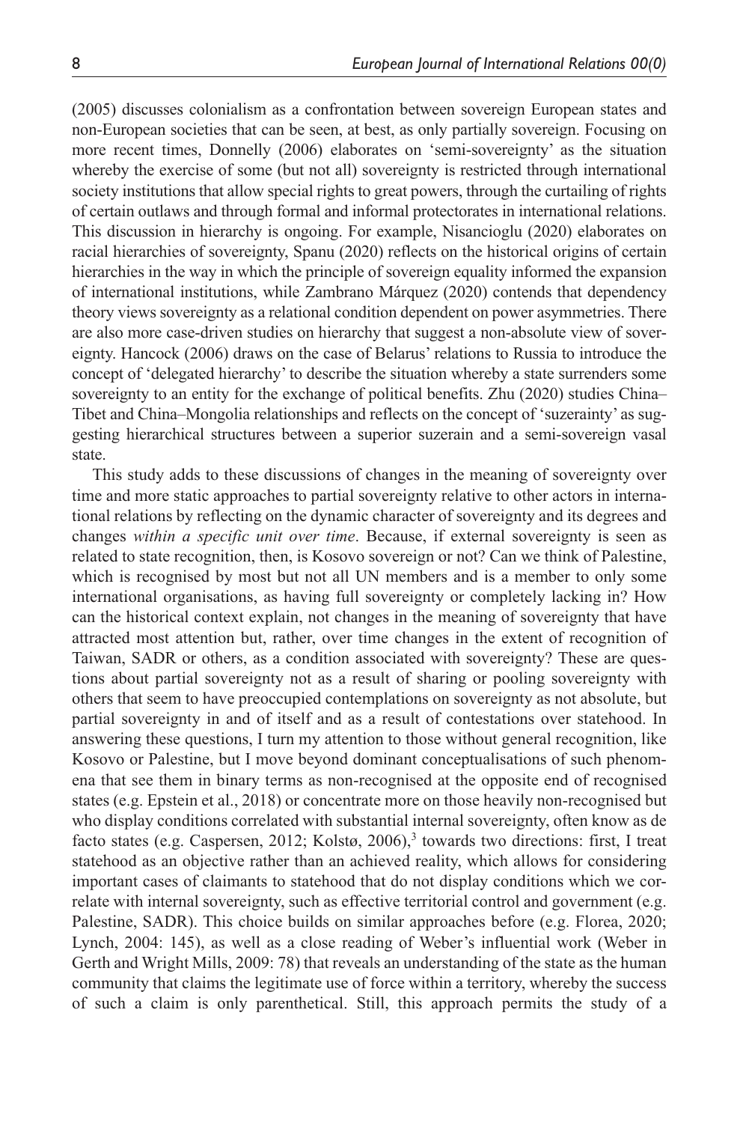(2005) discusses colonialism as a confrontation between sovereign European states and non-European societies that can be seen, at best, as only partially sovereign. Focusing on more recent times, Donnelly (2006) elaborates on 'semi-sovereignty' as the situation whereby the exercise of some (but not all) sovereignty is restricted through international society institutions that allow special rights to great powers, through the curtailing of rights of certain outlaws and through formal and informal protectorates in international relations. This discussion in hierarchy is ongoing. For example, Nisancioglu (2020) elaborates on racial hierarchies of sovereignty, Spanu (2020) reflects on the historical origins of certain hierarchies in the way in which the principle of sovereign equality informed the expansion of international institutions, while Zambrano Márquez (2020) contends that dependency theory views sovereignty as a relational condition dependent on power asymmetries. There are also more case-driven studies on hierarchy that suggest a non-absolute view of sovereignty. Hancock (2006) draws on the case of Belarus' relations to Russia to introduce the concept of 'delegated hierarchy' to describe the situation whereby a state surrenders some sovereignty to an entity for the exchange of political benefits. Zhu (2020) studies China– Tibet and China–Mongolia relationships and reflects on the concept of 'suzerainty' as suggesting hierarchical structures between a superior suzerain and a semi-sovereign vasal state.

This study adds to these discussions of changes in the meaning of sovereignty over time and more static approaches to partial sovereignty relative to other actors in international relations by reflecting on the dynamic character of sovereignty and its degrees and changes *within a specific unit over time*. Because, if external sovereignty is seen as related to state recognition, then, is Kosovo sovereign or not? Can we think of Palestine, which is recognised by most but not all UN members and is a member to only some international organisations, as having full sovereignty or completely lacking in? How can the historical context explain, not changes in the meaning of sovereignty that have attracted most attention but, rather, over time changes in the extent of recognition of Taiwan, SADR or others, as a condition associated with sovereignty? These are questions about partial sovereignty not as a result of sharing or pooling sovereignty with others that seem to have preoccupied contemplations on sovereignty as not absolute, but partial sovereignty in and of itself and as a result of contestations over statehood. In answering these questions, I turn my attention to those without general recognition, like Kosovo or Palestine, but I move beyond dominant conceptualisations of such phenomena that see them in binary terms as non-recognised at the opposite end of recognised states (e.g. Epstein et al., 2018) or concentrate more on those heavily non-recognised but who display conditions correlated with substantial internal sovereignty, often know as de facto states (e.g. Caspersen, 2012; Kolstø, 2006),<sup>3</sup> towards two directions: first, I treat statehood as an objective rather than an achieved reality, which allows for considering important cases of claimants to statehood that do not display conditions which we correlate with internal sovereignty, such as effective territorial control and government (e.g. Palestine, SADR). This choice builds on similar approaches before (e.g. Florea, 2020; Lynch, 2004: 145), as well as a close reading of Weber's influential work (Weber in Gerth and Wright Mills, 2009: 78) that reveals an understanding of the state as the human community that claims the legitimate use of force within a territory, whereby the success of such a claim is only parenthetical. Still, this approach permits the study of a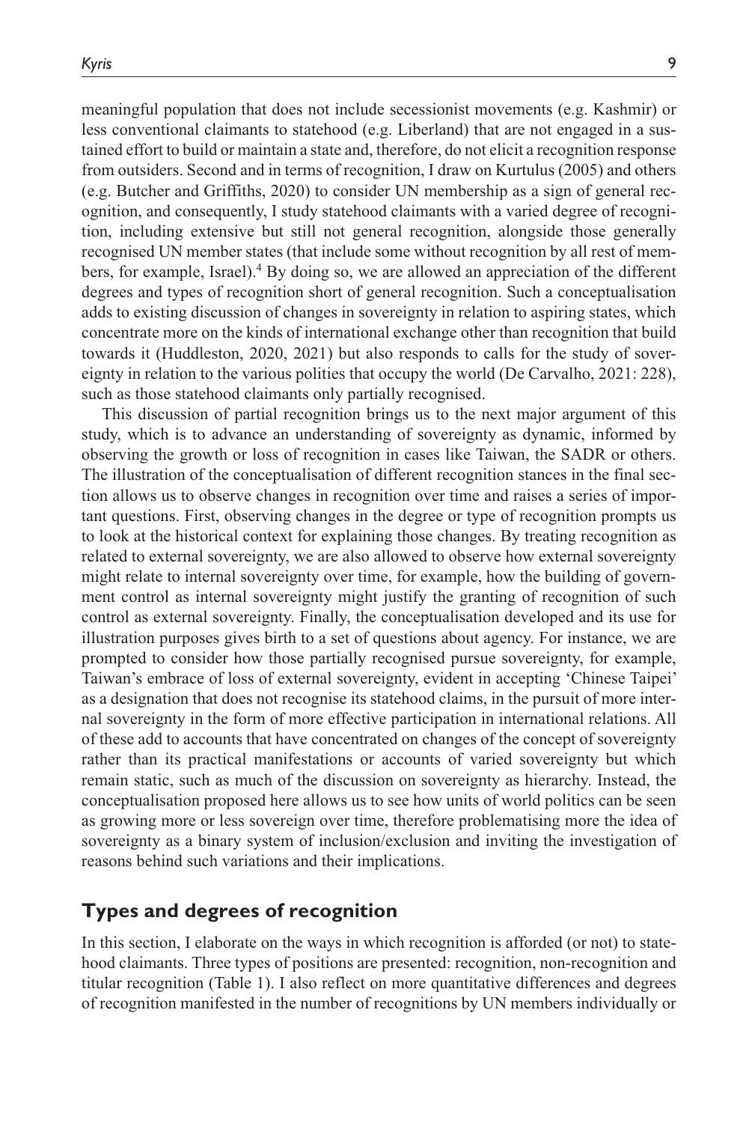meaningful population that does not include secessionist movements (e.g. Kashmir) or less conventional claimants to statehood (e.g. Liberland) that are not engaged in a sustained effort to build or maintain a state and, therefore, do not elicit a recognition response from outsiders. Second and in terms of recognition, I draw on Kurtulus (2005) and others (e.g. Butcher and Griffiths, 2020) to consider UN membership as a sign of general recognition, and consequently, I study statehood claimants with a varied degree of recognition, including extensive but still not general recognition, alongside those generally recognised UN member states (that include some without recognition by all rest of members, for example, Israel).<sup>4</sup> By doing so, we are allowed an appreciation of the different degrees and types of recognition short of general recognition. Such a conceptualisation adds to existing discussion of changes in sovereignty in relation to aspiring states, which concentrate more on the kinds of international exchange other than recognition that build towards it (Huddleston, 2020, 2021) but also responds to calls for the study of sovereignty in relation to the various polities that occupy the world (De Carvalho, 2021: 228), such as those statehood claimants only partially recognised.

This discussion of partial recognition brings us to the next major argument of this study, which is to advance an understanding of sovereignty as dynamic, informed by observing the growth or loss of recognition in cases like Taiwan, the SADR or others. The illustration of the conceptualisation of different recognition stances in the final section allows us to observe changes in recognition over time and raises a series of important questions. First, observing changes in the degree or type of recognition prompts us to look at the historical context for explaining those changes. By treating recognition as related to external sovereignty, we are also allowed to observe how external sovereignty might relate to internal sovereignty over time, for example, how the building of government control as internal sovereignty might justify the granting of recognition of such control as external sovereignty. Finally, the conceptualisation developed and its use for illustration purposes gives birth to a set of questions about agency. For instance, we are prompted to consider how those partially recognised pursue sovereignty, for example, Taiwan's embrace of loss of external sovereignty, evident in accepting 'Chinese Taipei' as a designation that does not recognise its statehood claims, in the pursuit of more internal sovereignty in the form of more effective participation in international relations. All of these add to accounts that have concentrated on changes of the concept of sovereignty rather than its practical manifestations or accounts of varied sovereignty but which remain static, such as much of the discussion on sovereignty as hierarchy. Instead, the conceptualisation proposed here allows us to see how units of world politics can be seen as growing more or less sovereign over time, therefore problematising more the idea of sovereignty as a binary system of inclusion/exclusion and inviting the investigation of reasons behind such variations and their implications.

## **Types and degrees of recognition**

In this section, I elaborate on the ways in which recognition is afforded (or not) to statehood claimants. Three types of positions are presented: recognition, non-recognition and titular recognition (Table 1). I also reflect on more quantitative differences and degrees of recognition manifested in the number of recognitions by UN members individually or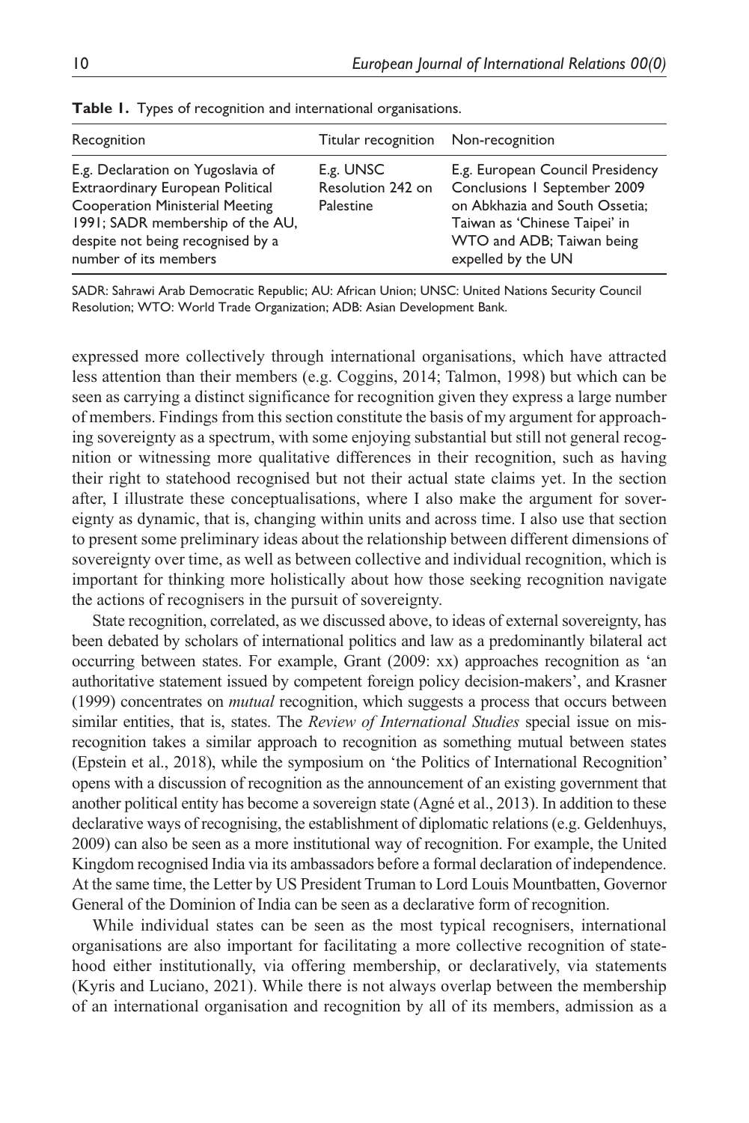| Recognition                                                                                                                                                                                                       | Titular recognition Non-recognition         |                                                                                                                                                                                        |
|-------------------------------------------------------------------------------------------------------------------------------------------------------------------------------------------------------------------|---------------------------------------------|----------------------------------------------------------------------------------------------------------------------------------------------------------------------------------------|
| E.g. Declaration on Yugoslavia of<br>Extraordinary European Political<br><b>Cooperation Ministerial Meeting</b><br>1991; SADR membership of the AU,<br>despite not being recognised by a<br>number of its members | E.g. UNSC<br>Resolution 242 on<br>Palestine | E.g. European Council Presidency<br>Conclusions   September 2009<br>on Abkhazia and South Ossetia;<br>Taiwan as 'Chinese Taipei' in<br>WTO and ADB; Taiwan being<br>expelled by the UN |

|  |  |  | Table 1. Types of recognition and international organisations. |
|--|--|--|----------------------------------------------------------------|
|  |  |  |                                                                |

SADR: Sahrawi Arab Democratic Republic; AU: African Union; UNSC: United Nations Security Council Resolution; WTO: World Trade Organization; ADB: Asian Development Bank.

expressed more collectively through international organisations, which have attracted less attention than their members (e.g. Coggins, 2014; Talmon, 1998) but which can be seen as carrying a distinct significance for recognition given they express a large number of members. Findings from this section constitute the basis of my argument for approaching sovereignty as a spectrum, with some enjoying substantial but still not general recognition or witnessing more qualitative differences in their recognition, such as having their right to statehood recognised but not their actual state claims yet. In the section after, I illustrate these conceptualisations, where I also make the argument for sovereignty as dynamic, that is, changing within units and across time. I also use that section to present some preliminary ideas about the relationship between different dimensions of sovereignty over time, as well as between collective and individual recognition, which is important for thinking more holistically about how those seeking recognition navigate the actions of recognisers in the pursuit of sovereignty.

State recognition, correlated, as we discussed above, to ideas of external sovereignty, has been debated by scholars of international politics and law as a predominantly bilateral act occurring between states. For example, Grant (2009: xx) approaches recognition as 'an authoritative statement issued by competent foreign policy decision-makers', and Krasner (1999) concentrates on *mutual* recognition, which suggests a process that occurs between similar entities, that is, states. The *Review of International Studies* special issue on misrecognition takes a similar approach to recognition as something mutual between states (Epstein et al., 2018), while the symposium on 'the Politics of International Recognition' opens with a discussion of recognition as the announcement of an existing government that another political entity has become a sovereign state (Agné et al., 2013). In addition to these declarative ways of recognising, the establishment of diplomatic relations (e.g. Geldenhuys, 2009) can also be seen as a more institutional way of recognition. For example, the United Kingdom recognised India via its ambassadors before a formal declaration of independence. At the same time, the Letter by US President Truman to Lord Louis Mountbatten, Governor General of the Dominion of India can be seen as a declarative form of recognition.

While individual states can be seen as the most typical recognisers, international organisations are also important for facilitating a more collective recognition of statehood either institutionally, via offering membership, or declaratively, via statements (Kyris and Luciano, 2021). While there is not always overlap between the membership of an international organisation and recognition by all of its members, admission as a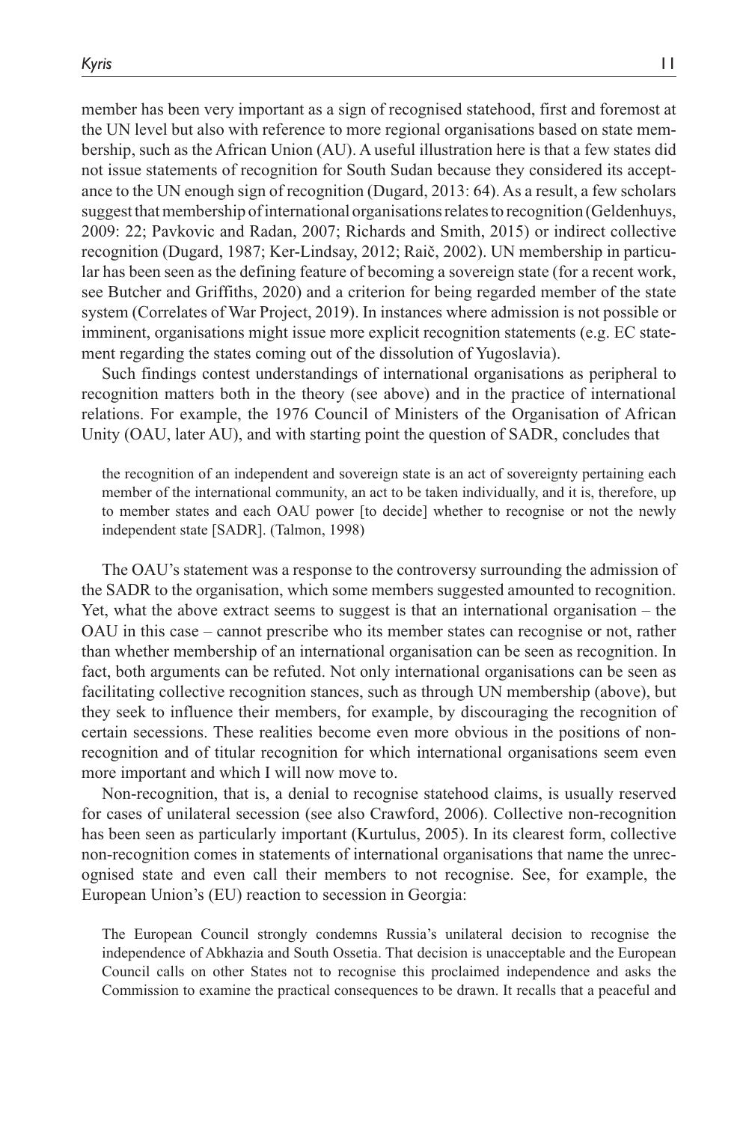member has been very important as a sign of recognised statehood, first and foremost at the UN level but also with reference to more regional organisations based on state membership, such as the African Union (AU). A useful illustration here is that a few states did not issue statements of recognition for South Sudan because they considered its acceptance to the UN enough sign of recognition (Dugard, 2013: 64). As a result, a few scholars suggest that membership of international organisations relates to recognition (Geldenhuys, 2009: 22; Pavkovic and Radan, 2007; Richards and Smith, 2015) or indirect collective recognition (Dugard, 1987; Ker-Lindsay, 2012; Raič, 2002). UN membership in particular has been seen as the defining feature of becoming a sovereign state (for a recent work, see Butcher and Griffiths, 2020) and a criterion for being regarded member of the state system (Correlates of War Project, 2019). In instances where admission is not possible or imminent, organisations might issue more explicit recognition statements (e.g. EC statement regarding the states coming out of the dissolution of Yugoslavia).

Such findings contest understandings of international organisations as peripheral to recognition matters both in the theory (see above) and in the practice of international relations. For example, the 1976 Council of Ministers of the Organisation of African Unity (OAU, later AU), and with starting point the question of SADR, concludes that

the recognition of an independent and sovereign state is an act of sovereignty pertaining each member of the international community, an act to be taken individually, and it is, therefore, up to member states and each OAU power [to decide] whether to recognise or not the newly independent state [SADR]. (Talmon, 1998)

The OAU's statement was a response to the controversy surrounding the admission of the SADR to the organisation, which some members suggested amounted to recognition. Yet, what the above extract seems to suggest is that an international organisation – the OAU in this case – cannot prescribe who its member states can recognise or not, rather than whether membership of an international organisation can be seen as recognition. In fact, both arguments can be refuted. Not only international organisations can be seen as facilitating collective recognition stances, such as through UN membership (above), but they seek to influence their members, for example, by discouraging the recognition of certain secessions. These realities become even more obvious in the positions of nonrecognition and of titular recognition for which international organisations seem even more important and which I will now move to.

Non-recognition, that is, a denial to recognise statehood claims, is usually reserved for cases of unilateral secession (see also Crawford, 2006). Collective non-recognition has been seen as particularly important (Kurtulus, 2005). In its clearest form, collective non-recognition comes in statements of international organisations that name the unrecognised state and even call their members to not recognise. See, for example, the European Union's (EU) reaction to secession in Georgia:

The European Council strongly condemns Russia's unilateral decision to recognise the independence of Abkhazia and South Ossetia. That decision is unacceptable and the European Council calls on other States not to recognise this proclaimed independence and asks the Commission to examine the practical consequences to be drawn. It recalls that a peaceful and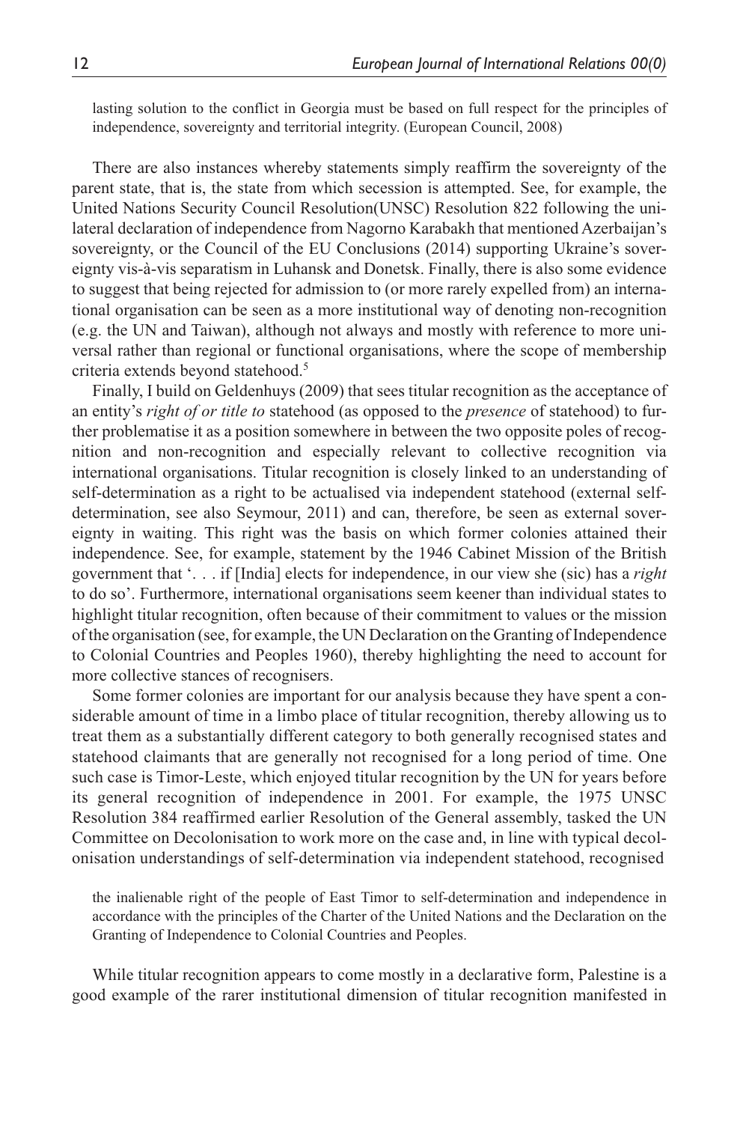lasting solution to the conflict in Georgia must be based on full respect for the principles of independence, sovereignty and territorial integrity. (European Council, 2008)

There are also instances whereby statements simply reaffirm the sovereignty of the parent state, that is, the state from which secession is attempted. See, for example, the United Nations Security Council Resolution(UNSC) Resolution 822 following the unilateral declaration of independence from Nagorno Karabakh that mentioned Azerbaijan's sovereignty, or the Council of the EU Conclusions (2014) supporting Ukraine's sovereignty vis-à-vis separatism in Luhansk and Donetsk. Finally, there is also some evidence to suggest that being rejected for admission to (or more rarely expelled from) an international organisation can be seen as a more institutional way of denoting non-recognition (e.g. the UN and Taiwan), although not always and mostly with reference to more universal rather than regional or functional organisations, where the scope of membership criteria extends beyond statehood.<sup>5</sup>

Finally, I build on Geldenhuys (2009) that sees titular recognition as the acceptance of an entity's *right of or title to* statehood (as opposed to the *presence* of statehood) to further problematise it as a position somewhere in between the two opposite poles of recognition and non-recognition and especially relevant to collective recognition via international organisations. Titular recognition is closely linked to an understanding of self-determination as a right to be actualised via independent statehood (external selfdetermination, see also Seymour, 2011) and can, therefore, be seen as external sovereignty in waiting. This right was the basis on which former colonies attained their independence. See, for example, statement by the 1946 Cabinet Mission of the British government that '. . . if [India] elects for independence, in our view she (sic) has a *right* to do so'. Furthermore, international organisations seem keener than individual states to highlight titular recognition, often because of their commitment to values or the mission of the organisation (see, for example, the UN Declaration on the Granting of Independence to Colonial Countries and Peoples 1960), thereby highlighting the need to account for more collective stances of recognisers.

Some former colonies are important for our analysis because they have spent a considerable amount of time in a limbo place of titular recognition, thereby allowing us to treat them as a substantially different category to both generally recognised states and statehood claimants that are generally not recognised for a long period of time. One such case is Timor-Leste, which enjoyed titular recognition by the UN for years before its general recognition of independence in 2001. For example, the 1975 UNSC Resolution 384 reaffirmed earlier Resolution of the General assembly, tasked the UN Committee on Decolonisation to work more on the case and, in line with typical decolonisation understandings of self-determination via independent statehood, recognised

the inalienable right of the people of East Timor to self-determination and independence in accordance with the principles of the Charter of the United Nations and the Declaration on the Granting of Independence to Colonial Countries and Peoples.

While titular recognition appears to come mostly in a declarative form, Palestine is a good example of the rarer institutional dimension of titular recognition manifested in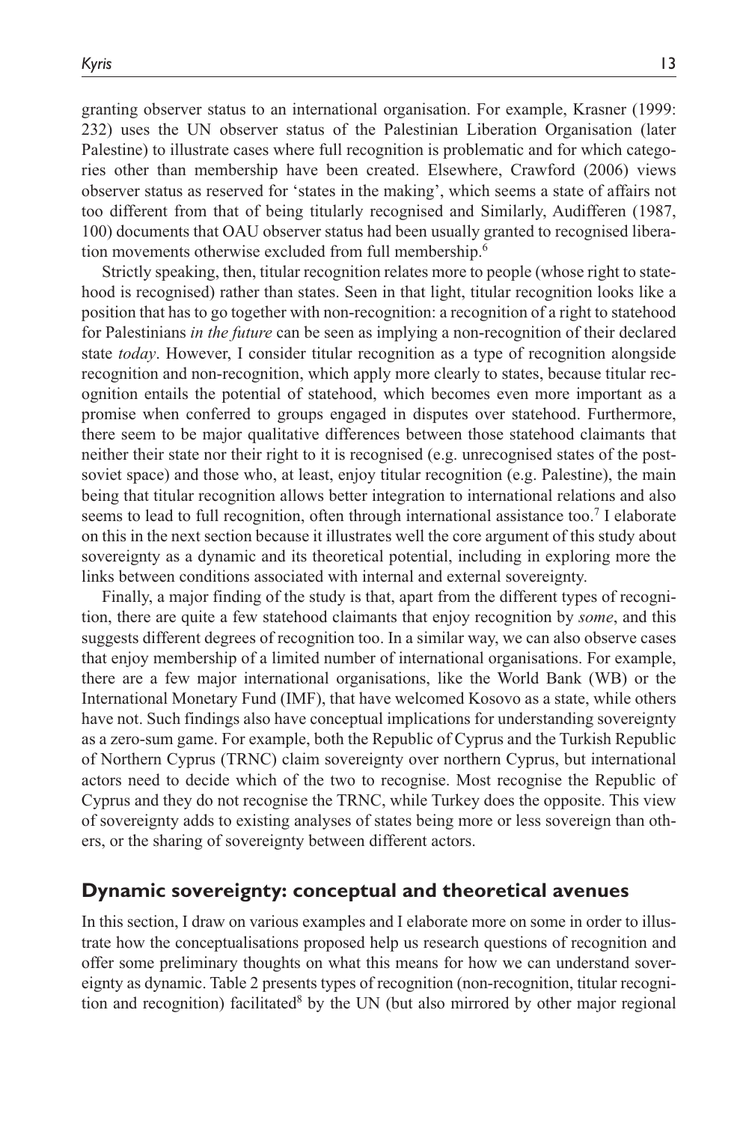granting observer status to an international organisation. For example, Krasner (1999: 232) uses the UN observer status of the Palestinian Liberation Organisation (later Palestine) to illustrate cases where full recognition is problematic and for which categories other than membership have been created. Elsewhere, Crawford (2006) views observer status as reserved for 'states in the making', which seems a state of affairs not too different from that of being titularly recognised and Similarly, Audifferen (1987, 100) documents that OAU observer status had been usually granted to recognised liberation movements otherwise excluded from full membership.<sup>6</sup>

Strictly speaking, then, titular recognition relates more to people (whose right to statehood is recognised) rather than states. Seen in that light, titular recognition looks like a position that has to go together with non-recognition: a recognition of a right to statehood for Palestinians *in the future* can be seen as implying a non-recognition of their declared state *today*. However, I consider titular recognition as a type of recognition alongside recognition and non-recognition, which apply more clearly to states, because titular recognition entails the potential of statehood, which becomes even more important as a promise when conferred to groups engaged in disputes over statehood. Furthermore, there seem to be major qualitative differences between those statehood claimants that neither their state nor their right to it is recognised (e.g. unrecognised states of the postsoviet space) and those who, at least, enjoy titular recognition (e.g. Palestine), the main being that titular recognition allows better integration to international relations and also seems to lead to full recognition, often through international assistance too.<sup>7</sup> I elaborate on this in the next section because it illustrates well the core argument of this study about sovereignty as a dynamic and its theoretical potential, including in exploring more the links between conditions associated with internal and external sovereignty.

Finally, a major finding of the study is that, apart from the different types of recognition, there are quite a few statehood claimants that enjoy recognition by *some*, and this suggests different degrees of recognition too. In a similar way, we can also observe cases that enjoy membership of a limited number of international organisations. For example, there are a few major international organisations, like the World Bank (WB) or the International Monetary Fund (IMF), that have welcomed Kosovo as a state, while others have not. Such findings also have conceptual implications for understanding sovereignty as a zero-sum game. For example, both the Republic of Cyprus and the Turkish Republic of Northern Cyprus (TRNC) claim sovereignty over northern Cyprus, but international actors need to decide which of the two to recognise. Most recognise the Republic of Cyprus and they do not recognise the TRNC, while Turkey does the opposite. This view of sovereignty adds to existing analyses of states being more or less sovereign than others, or the sharing of sovereignty between different actors.

## **Dynamic sovereignty: conceptual and theoretical avenues**

In this section, I draw on various examples and I elaborate more on some in order to illustrate how the conceptualisations proposed help us research questions of recognition and offer some preliminary thoughts on what this means for how we can understand sovereignty as dynamic. Table 2 presents types of recognition (non-recognition, titular recognition and recognition) facilitated<sup>8</sup> by the UN (but also mirrored by other major regional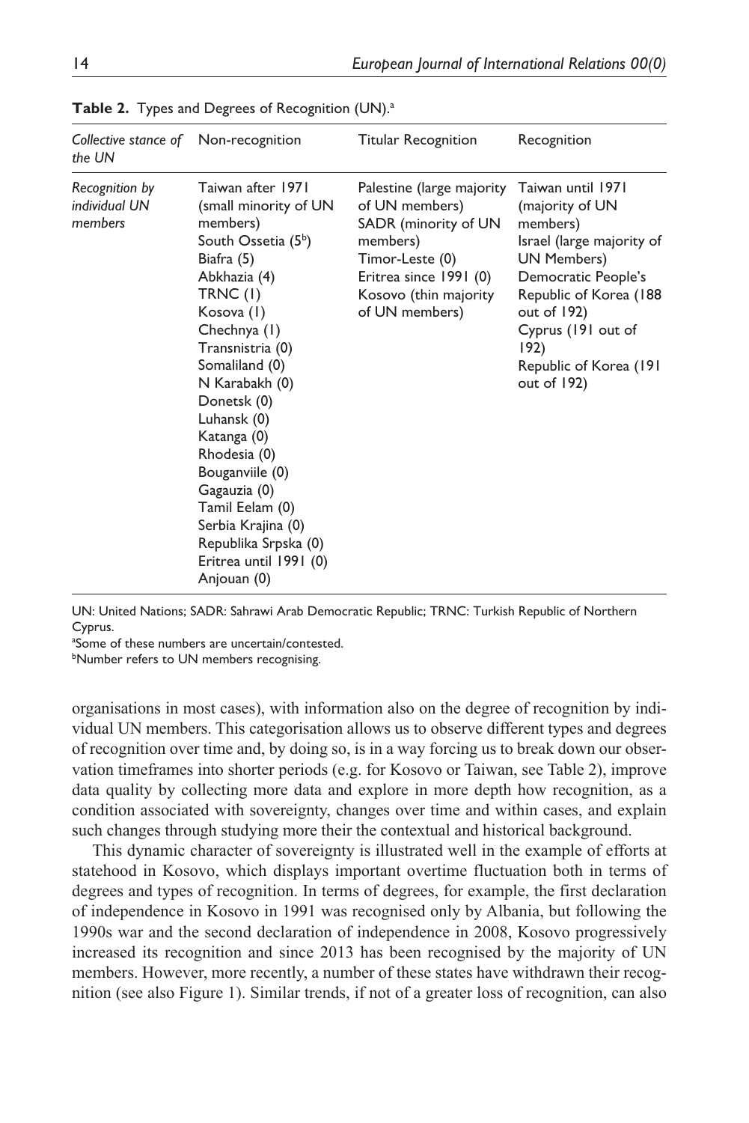| Collective stance of Non-recognition<br>the UN |                                                                                                                                                                                                                                                                                                                                                                                                                                     | <b>Titular Recognition</b>                                                                                                                                              | Recognition                                                                                                                                                                                                                                      |
|------------------------------------------------|-------------------------------------------------------------------------------------------------------------------------------------------------------------------------------------------------------------------------------------------------------------------------------------------------------------------------------------------------------------------------------------------------------------------------------------|-------------------------------------------------------------------------------------------------------------------------------------------------------------------------|--------------------------------------------------------------------------------------------------------------------------------------------------------------------------------------------------------------------------------------------------|
| Recognition by<br>individual UN<br>members     | Taiwan after 1971<br>(small minority of UN<br>members)<br>South Ossetia (5 <sup>b</sup> )<br>Biafra (5)<br>Abkhazia (4)<br>TRNC (I)<br>Kosova (1)<br>Chechnya (1)<br>Transnistria (0)<br>Somaliland (0)<br>N Karabakh (0)<br>Donetsk (0)<br>Luhansk (0)<br>Katanga (0)<br>Rhodesia (0)<br>Bouganviile (0)<br>Gagauzia (0)<br>Tamil Eelam (0)<br>Serbia Krajina (0)<br>Republika Srpska (0)<br>Eritrea until 1991 (0)<br>Anjouan (0) | Palestine (large majority<br>of UN members)<br>SADR (minority of UN<br>members)<br>Timor-Leste (0)<br>Eritrea since 1991 (0)<br>Kosovo (thin majority<br>of UN members) | Taiwan until 1971<br>(majority of UN<br>members)<br>Israel (large majority of<br><b>UN Members)</b><br>Democratic People's<br>Republic of Korea (188<br>out of $192$ )<br>Cyprus (191 out of<br>192)<br>Republic of Korea (191<br>out of $192$ ) |

Table 2. Types and Degrees of Recognition (UN).<sup>a</sup>

UN: United Nations; SADR: Sahrawi Arab Democratic Republic; TRNC: Turkish Republic of Northern Cyprus.

a Some of these numbers are uncertain/contested.

**bNumber refers to UN members recognising.** 

organisations in most cases), with information also on the degree of recognition by individual UN members. This categorisation allows us to observe different types and degrees of recognition over time and, by doing so, is in a way forcing us to break down our observation timeframes into shorter periods (e.g. for Kosovo or Taiwan, see Table 2), improve data quality by collecting more data and explore in more depth how recognition, as a condition associated with sovereignty, changes over time and within cases, and explain such changes through studying more their the contextual and historical background.

This dynamic character of sovereignty is illustrated well in the example of efforts at statehood in Kosovo, which displays important overtime fluctuation both in terms of degrees and types of recognition. In terms of degrees, for example, the first declaration of independence in Kosovo in 1991 was recognised only by Albania, but following the 1990s war and the second declaration of independence in 2008, Kosovo progressively increased its recognition and since 2013 has been recognised by the majority of UN members. However, more recently, a number of these states have withdrawn their recognition (see also Figure 1). Similar trends, if not of a greater loss of recognition, can also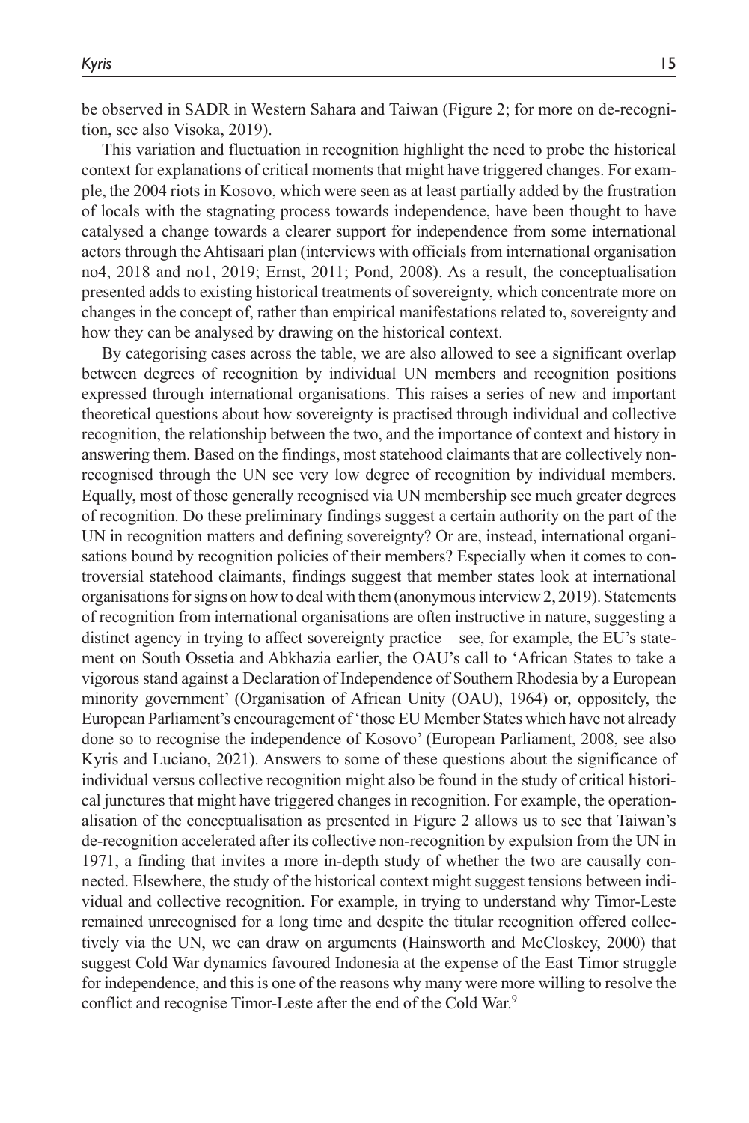be observed in SADR in Western Sahara and Taiwan (Figure 2; for more on de-recognition, see also Visoka, 2019).

This variation and fluctuation in recognition highlight the need to probe the historical context for explanations of critical moments that might have triggered changes. For example, the 2004 riots in Kosovo, which were seen as at least partially added by the frustration of locals with the stagnating process towards independence, have been thought to have catalysed a change towards a clearer support for independence from some international actors through the Ahtisaari plan (interviews with officials from international organisation no4, 2018 and no1, 2019; Ernst, 2011; Pond, 2008). As a result, the conceptualisation presented adds to existing historical treatments of sovereignty, which concentrate more on changes in the concept of, rather than empirical manifestations related to, sovereignty and how they can be analysed by drawing on the historical context.

By categorising cases across the table, we are also allowed to see a significant overlap between degrees of recognition by individual UN members and recognition positions expressed through international organisations. This raises a series of new and important theoretical questions about how sovereignty is practised through individual and collective recognition, the relationship between the two, and the importance of context and history in answering them. Based on the findings, most statehood claimants that are collectively nonrecognised through the UN see very low degree of recognition by individual members. Equally, most of those generally recognised via UN membership see much greater degrees of recognition. Do these preliminary findings suggest a certain authority on the part of the UN in recognition matters and defining sovereignty? Or are, instead, international organisations bound by recognition policies of their members? Especially when it comes to controversial statehood claimants, findings suggest that member states look at international organisations for signs on how to deal with them (anonymous interview 2, 2019). Statements of recognition from international organisations are often instructive in nature, suggesting a distinct agency in trying to affect sovereignty practice – see, for example, the EU's statement on South Ossetia and Abkhazia earlier, the OAU's call to 'African States to take a vigorous stand against a Declaration of Independence of Southern Rhodesia by a European minority government' (Organisation of African Unity (OAU), 1964) or, oppositely, the European Parliament's encouragement of 'those EU Member States which have not already done so to recognise the independence of Kosovo' (European Parliament, 2008, see also Kyris and Luciano, 2021). Answers to some of these questions about the significance of individual versus collective recognition might also be found in the study of critical historical junctures that might have triggered changes in recognition. For example, the operationalisation of the conceptualisation as presented in Figure 2 allows us to see that Taiwan's de-recognition accelerated after its collective non-recognition by expulsion from the UN in 1971, a finding that invites a more in-depth study of whether the two are causally connected. Elsewhere, the study of the historical context might suggest tensions between individual and collective recognition. For example, in trying to understand why Timor-Leste remained unrecognised for a long time and despite the titular recognition offered collectively via the UN, we can draw on arguments (Hainsworth and McCloskey, 2000) that suggest Cold War dynamics favoured Indonesia at the expense of the East Timor struggle for independence, and this is one of the reasons why many were more willing to resolve the conflict and recognise Timor-Leste after the end of the Cold War.<sup>9</sup>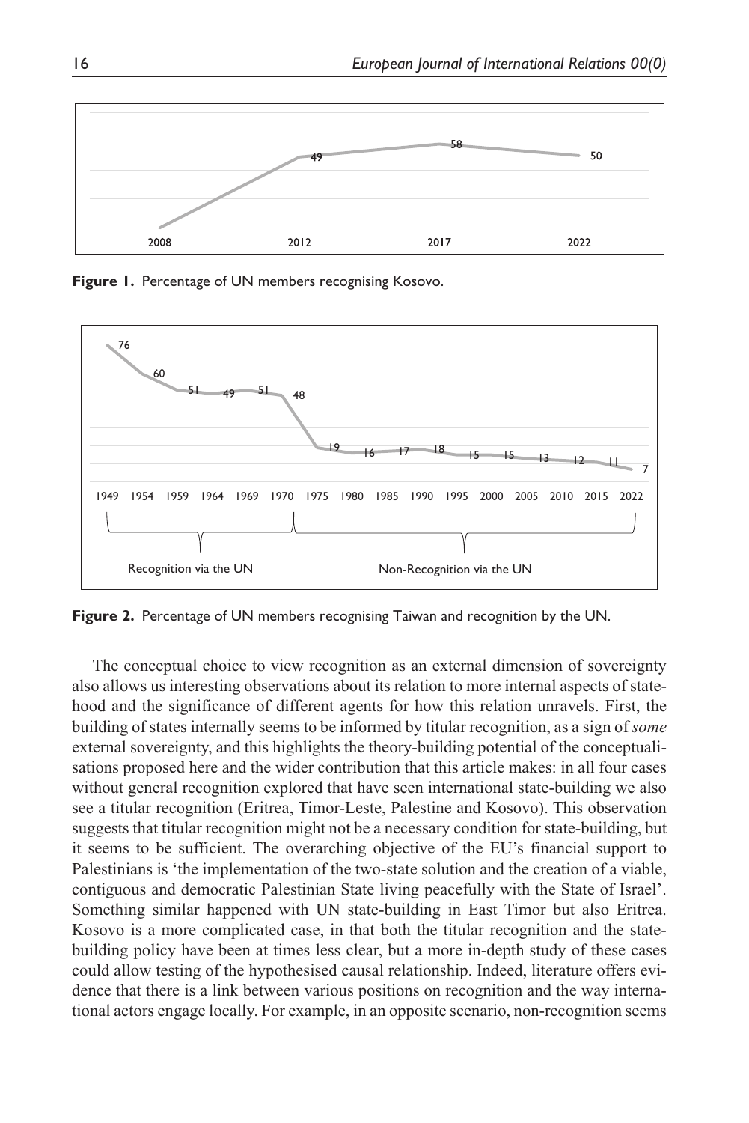

**Figure 1.** Percentage of UN members recognising Kosovo.



**Figure 2.** Percentage of UN members recognising Taiwan and recognition by the UN.

The conceptual choice to view recognition as an external dimension of sovereignty also allows us interesting observations about its relation to more internal aspects of statehood and the significance of different agents for how this relation unravels. First, the building of states internally seems to be informed by titular recognition, as a sign of *some* external sovereignty, and this highlights the theory-building potential of the conceptualisations proposed here and the wider contribution that this article makes: in all four cases without general recognition explored that have seen international state-building we also see a titular recognition (Eritrea, Timor-Leste, Palestine and Kosovo). This observation suggests that titular recognition might not be a necessary condition for state-building, but it seems to be sufficient. The overarching objective of the EU's financial support to Palestinians is 'the implementation of the two-state solution and the creation of a viable, contiguous and democratic Palestinian State living peacefully with the State of Israel'. Something similar happened with UN state-building in East Timor but also Eritrea. Kosovo is a more complicated case, in that both the titular recognition and the statebuilding policy have been at times less clear, but a more in-depth study of these cases could allow testing of the hypothesised causal relationship. Indeed, literature offers evidence that there is a link between various positions on recognition and the way international actors engage locally. For example, in an opposite scenario, non-recognition seems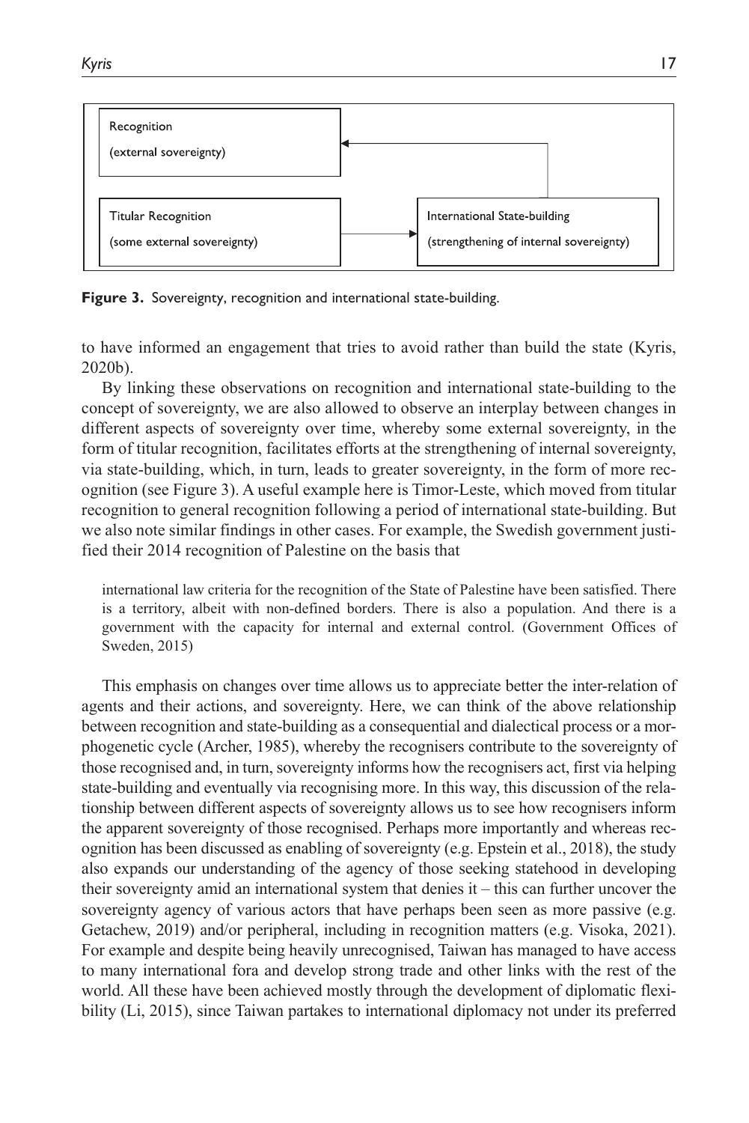

**Figure 3.** Sovereignty, recognition and international state-building.

to have informed an engagement that tries to avoid rather than build the state (Kyris, 2020b).

By linking these observations on recognition and international state-building to the concept of sovereignty, we are also allowed to observe an interplay between changes in different aspects of sovereignty over time, whereby some external sovereignty, in the form of titular recognition, facilitates efforts at the strengthening of internal sovereignty, via state-building, which, in turn, leads to greater sovereignty, in the form of more recognition (see Figure 3). A useful example here is Timor-Leste, which moved from titular recognition to general recognition following a period of international state-building. But we also note similar findings in other cases. For example, the Swedish government justified their 2014 recognition of Palestine on the basis that

international law criteria for the recognition of the State of Palestine have been satisfied. There is a territory, albeit with non-defined borders. There is also a population. And there is a government with the capacity for internal and external control. (Government Offices of Sweden, 2015)

This emphasis on changes over time allows us to appreciate better the inter-relation of agents and their actions, and sovereignty. Here, we can think of the above relationship between recognition and state-building as a consequential and dialectical process or a morphogenetic cycle (Archer, 1985), whereby the recognisers contribute to the sovereignty of those recognised and, in turn, sovereignty informs how the recognisers act, first via helping state-building and eventually via recognising more. In this way, this discussion of the relationship between different aspects of sovereignty allows us to see how recognisers inform the apparent sovereignty of those recognised. Perhaps more importantly and whereas recognition has been discussed as enabling of sovereignty (e.g. Epstein et al., 2018), the study also expands our understanding of the agency of those seeking statehood in developing their sovereignty amid an international system that denies it – this can further uncover the sovereignty agency of various actors that have perhaps been seen as more passive (e.g. Getachew, 2019) and/or peripheral, including in recognition matters (e.g. Visoka, 2021). For example and despite being heavily unrecognised, Taiwan has managed to have access to many international fora and develop strong trade and other links with the rest of the world. All these have been achieved mostly through the development of diplomatic flexibility (Li, 2015), since Taiwan partakes to international diplomacy not under its preferred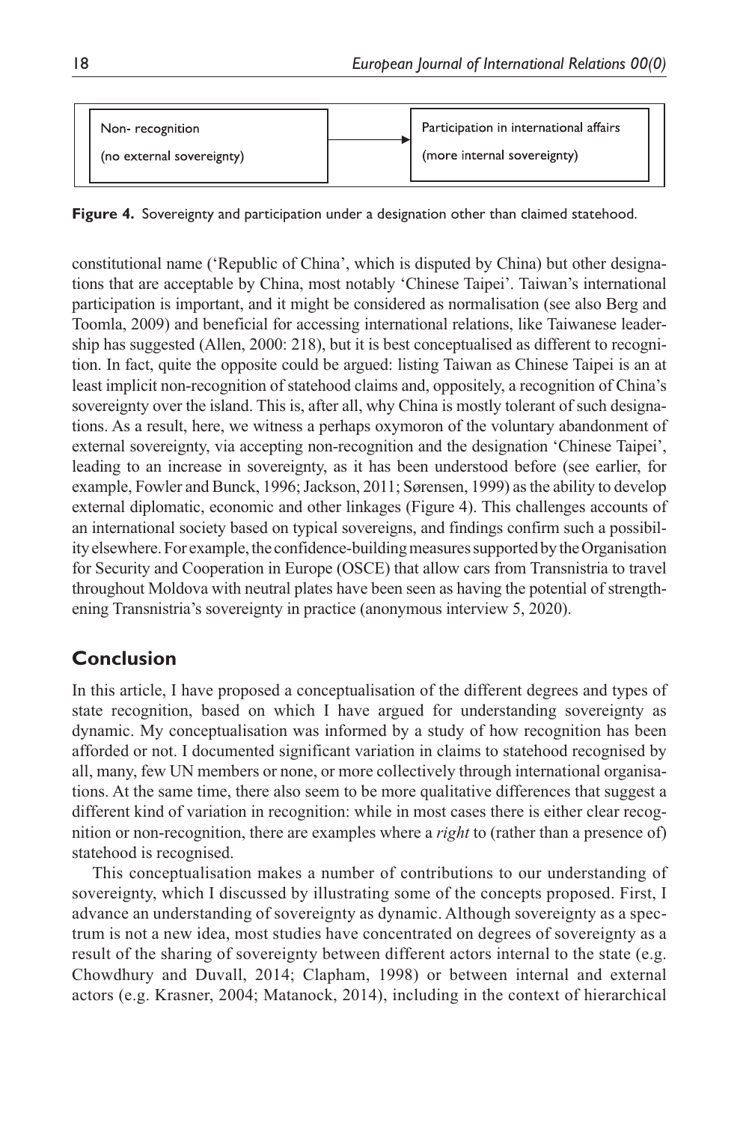| Non-recognition           | Participation in international affairs |
|---------------------------|----------------------------------------|
| (no external sovereignty) | (more internal sovereignty)            |

**Figure 4.** Sovereignty and participation under a designation other than claimed statehood.

constitutional name ('Republic of China', which is disputed by China) but other designations that are acceptable by China, most notably 'Chinese Taipei'. Taiwan's international participation is important, and it might be considered as normalisation (see also Berg and Toomla, 2009) and beneficial for accessing international relations, like Taiwanese leadership has suggested (Allen, 2000: 218), but it is best conceptualised as different to recognition. In fact, quite the opposite could be argued: listing Taiwan as Chinese Taipei is an at least implicit non-recognition of statehood claims and, oppositely, a recognition of China's sovereignty over the island. This is, after all, why China is mostly tolerant of such designations. As a result, here, we witness a perhaps oxymoron of the voluntary abandonment of external sovereignty, via accepting non-recognition and the designation 'Chinese Taipei', leading to an increase in sovereignty, as it has been understood before (see earlier, for example, Fowler and Bunck, 1996; Jackson, 2011; Sørensen, 1999) as the ability to develop external diplomatic, economic and other linkages (Figure 4). This challenges accounts of an international society based on typical sovereigns, and findings confirm such a possibility elsewhere. For example, the confidence-building measures supported by the Organisation for Security and Cooperation in Europe (OSCE) that allow cars from Transnistria to travel throughout Moldova with neutral plates have been seen as having the potential of strengthening Transnistria's sovereignty in practice (anonymous interview 5, 2020).

# **Conclusion**

Ιn this article, I have proposed a conceptualisation of the different degrees and types of state recognition, based on which I have argued for understanding sovereignty as dynamic. My conceptualisation was informed by a study of how recognition has been afforded or not. I documented significant variation in claims to statehood recognised by all, many, few UN members or none, or more collectively through international organisations. At the same time, there also seem to be more qualitative differences that suggest a different kind of variation in recognition: while in most cases there is either clear recognition or non-recognition, there are examples where a *right* to (rather than a presence of) statehood is recognised.

This conceptualisation makes a number of contributions to our understanding of sovereignty, which I discussed by illustrating some of the concepts proposed. First, I advance an understanding of sovereignty as dynamic. Although sovereignty as a spectrum is not a new idea, most studies have concentrated on degrees of sovereignty as a result of the sharing of sovereignty between different actors internal to the state (e.g. Chowdhury and Duvall, 2014; Clapham, 1998) or between internal and external actors (e.g. Krasner, 2004; Matanock, 2014), including in the context of hierarchical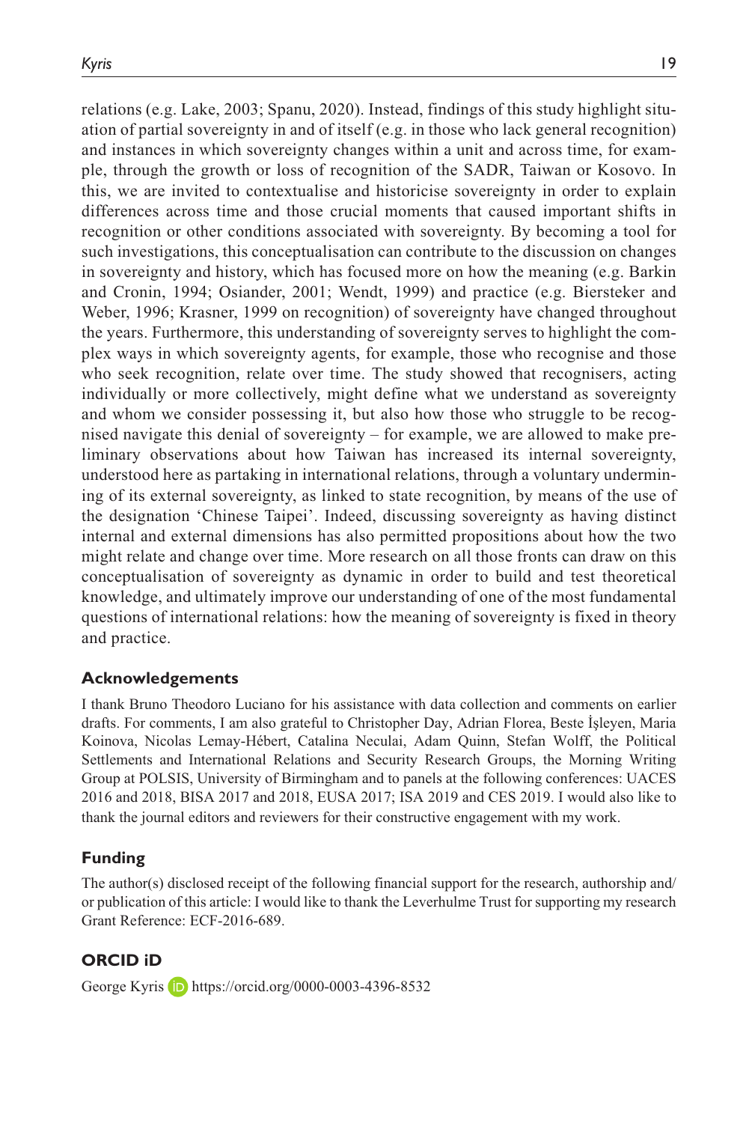relations (e.g. Lake, 2003; Spanu, 2020). Instead, findings of this study highlight situation of partial sovereignty in and of itself (e.g. in those who lack general recognition) and instances in which sovereignty changes within a unit and across time, for example, through the growth or loss of recognition of the SADR, Taiwan or Kosovo. In this, we are invited to contextualise and historicise sovereignty in order to explain differences across time and those crucial moments that caused important shifts in recognition or other conditions associated with sovereignty. By becoming a tool for such investigations, this conceptualisation can contribute to the discussion on changes in sovereignty and history, which has focused more on how the meaning (e.g. Barkin and Cronin, 1994; Osiander, 2001; Wendt, 1999) and practice (e.g. Biersteker and Weber, 1996; Krasner, 1999 on recognition) of sovereignty have changed throughout the years. Furthermore, this understanding of sovereignty serves to highlight the complex ways in which sovereignty agents, for example, those who recognise and those who seek recognition, relate over time. The study showed that recognisers, acting individually or more collectively, might define what we understand as sovereignty and whom we consider possessing it, but also how those who struggle to be recognised navigate this denial of sovereignty – for example, we are allowed to make preliminary observations about how Taiwan has increased its internal sovereignty, understood here as partaking in international relations, through a voluntary undermining of its external sovereignty, as linked to state recognition, by means of the use of the designation 'Chinese Taipei'. Indeed, discussing sovereignty as having distinct internal and external dimensions has also permitted propositions about how the two might relate and change over time. More research on all those fronts can draw on this conceptualisation of sovereignty as dynamic in order to build and test theoretical knowledge, and ultimately improve our understanding of one of the most fundamental questions of international relations: how the meaning of sovereignty is fixed in theory and practice.

#### **Acknowledgements**

I thank Bruno Theodoro Luciano for his assistance with data collection and comments on earlier drafts. For comments, I am also grateful to Christopher Day, Adrian Florea, Beste İşleyen, Maria Koinova, Nicolas Lemay-Hébert, Catalina Neculai, Adam Quinn, Stefan Wolff, the Political Settlements and International Relations and Security Research Groups, the Morning Writing Group at POLSIS, University of Birmingham and to panels at the following conferences: UACES 2016 and 2018, BISA 2017 and 2018, EUSA 2017; ISA 2019 and CES 2019. I would also like to thank the journal editors and reviewers for their constructive engagement with my work.

#### **Funding**

The author(s) disclosed receipt of the following financial support for the research, authorship and/ or publication of this article: I would like to thank the Leverhulme Trust for supporting my research Grant Reference: ECF-2016-689.

#### **ORCID iD**

George Kyris **D** <https://orcid.org/0000-0003-4396-8532>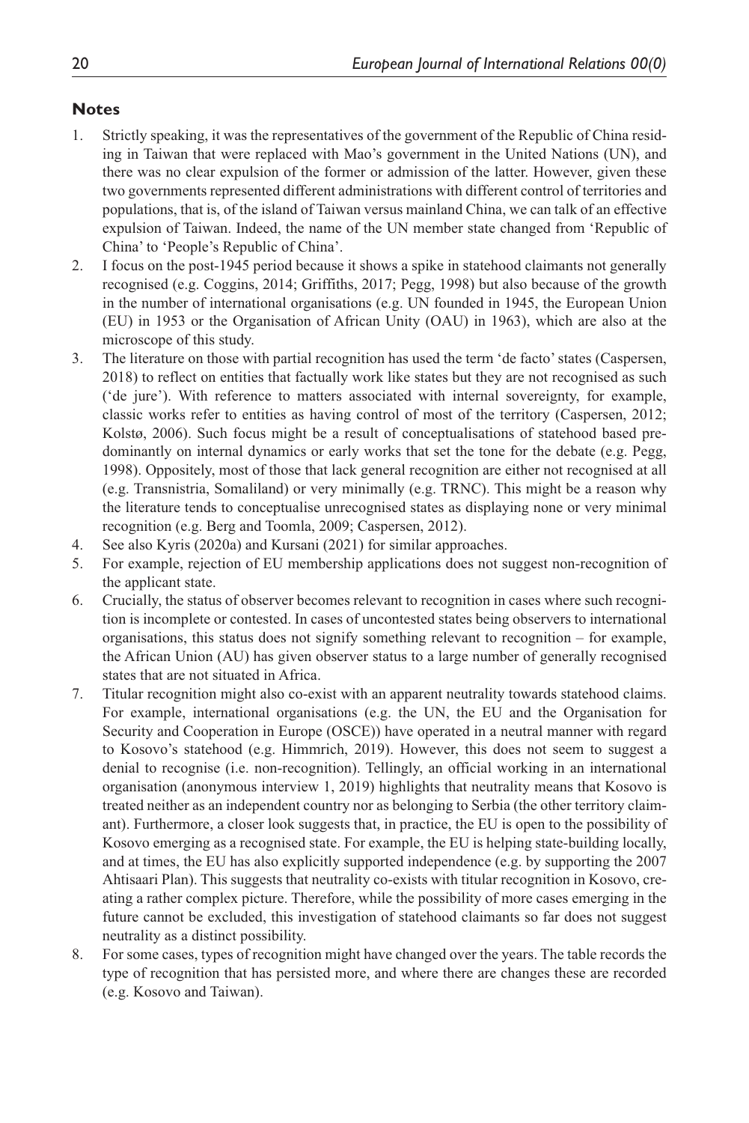#### **Notes**

- 1. Strictly speaking, it was the representatives of the government of the Republic of China residing in Taiwan that were replaced with Mao's government in the United Nations (UN), and there was no clear expulsion of the former or admission of the latter. However, given these two governments represented different administrations with different control of territories and populations, that is, of the island of Taiwan versus mainland China, we can talk of an effective expulsion of Taiwan. Indeed, the name of the UN member state changed from 'Republic of China' to 'People's Republic of China'.
- 2. I focus on the post-1945 period because it shows a spike in statehood claimants not generally recognised (e.g. Coggins, 2014; Griffiths, 2017; Pegg, 1998) but also because of the growth in the number of international organisations (e.g. UN founded in 1945, the European Union (EU) in 1953 or the Organisation of African Unity (OAU) in 1963), which are also at the microscope of this study.
- 3. The literature on those with partial recognition has used the term 'de facto' states (Caspersen, 2018) to reflect on entities that factually work like states but they are not recognised as such ('de jure'). With reference to matters associated with internal sovereignty, for example, classic works refer to entities as having control of most of the territory (Caspersen, 2012; Kolstø, 2006). Such focus might be a result of conceptualisations of statehood based predominantly on internal dynamics or early works that set the tone for the debate (e.g. Pegg, 1998). Oppositely, most of those that lack general recognition are either not recognised at all (e.g. Transnistria, Somaliland) or very minimally (e.g. TRNC). This might be a reason why the literature tends to conceptualise unrecognised states as displaying none or very minimal recognition (e.g. Berg and Toomla, 2009; Caspersen, 2012).
- 4. See also Kyris (2020a) and Kursani (2021) for similar approaches.
- 5. For example, rejection of EU membership applications does not suggest non-recognition of the applicant state.
- 6. Crucially, the status of observer becomes relevant to recognition in cases where such recognition is incomplete or contested. In cases of uncontested states being observers to international organisations, this status does not signify something relevant to recognition – for example, the African Union (AU) has given observer status to a large number of generally recognised states that are not situated in Africa.
- 7. Titular recognition might also co-exist with an apparent neutrality towards statehood claims. For example, international organisations (e.g. the UN, the EU and the Organisation for Security and Cooperation in Europe (OSCE)) have operated in a neutral manner with regard to Kosovo's statehood (e.g. Himmrich, 2019). However, this does not seem to suggest a denial to recognise (i.e. non-recognition). Tellingly, an official working in an international organisation (anonymous interview 1, 2019) highlights that neutrality means that Kosovo is treated neither as an independent country nor as belonging to Serbia (the other territory claimant). Furthermore, a closer look suggests that, in practice, the EU is open to the possibility of Kosovo emerging as a recognised state. For example, the EU is helping state-building locally, and at times, the EU has also explicitly supported independence (e.g. by supporting the 2007 Ahtisaari Plan). This suggests that neutrality co-exists with titular recognition in Kosovo, creating a rather complex picture. Therefore, while the possibility of more cases emerging in the future cannot be excluded, this investigation of statehood claimants so far does not suggest neutrality as a distinct possibility.
- 8. For some cases, types of recognition might have changed over the years. The table records the type of recognition that has persisted more, and where there are changes these are recorded (e.g. Kosovo and Taiwan).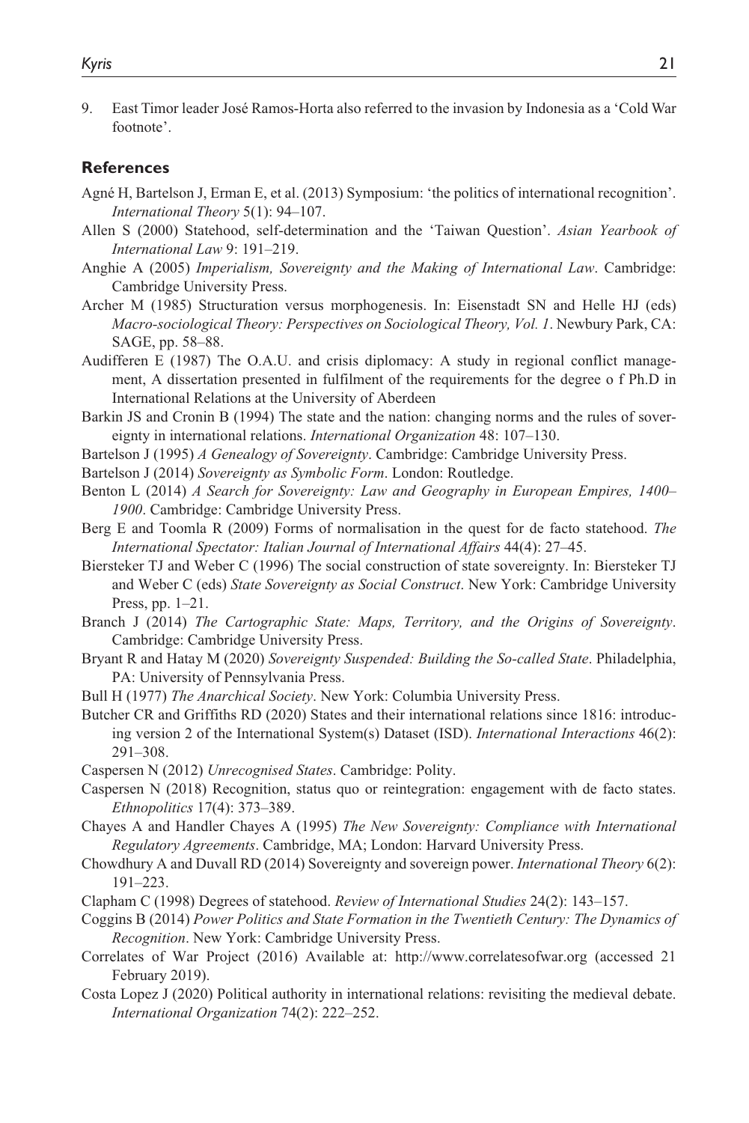9. East Timor leader José Ramos-Horta also referred to the invasion by Indonesia as a 'Cold War footnote'.

#### **References**

- Agné H, Bartelson J, Erman E, et al. (2013) Symposium: 'the politics of international recognition'. *International Theory* 5(1): 94–107.
- Allen S (2000) Statehood, self-determination and the 'Taiwan Question'. *Asian Yearbook of International Law* 9: 191–219.
- Anghie A (2005) *Imperialism, Sovereignty and the Making of International Law*. Cambridge: Cambridge University Press.
- Archer M (1985) Structuration versus morphogenesis. In: Eisenstadt SN and Helle HJ (eds) *Macro-sociological Theory: Perspectives on Sociological Theory, Vol. 1*. Newbury Park, CA: SAGE, pp. 58–88.
- Audifferen E (1987) The O.A.U. and crisis diplomacy: A study in regional conflict management, A dissertation presented in fulfilment of the requirements for the degree o f Ph.D in International Relations at the University of Aberdeen
- Barkin JS and Cronin B (1994) The state and the nation: changing norms and the rules of sovereignty in international relations. *International Organization* 48: 107–130.
- Bartelson J (1995) *A Genealogy of Sovereignty*. Cambridge: Cambridge University Press.
- Bartelson J (2014) *Sovereignty as Symbolic Form*. London: Routledge.
- Benton L (2014) *A Search for Sovereignty: Law and Geography in European Empires, 1400– 1900*. Cambridge: Cambridge University Press.
- Berg E and Toomla R (2009) Forms of normalisation in the quest for de facto statehood. *The International Spectator: Italian Journal of International Affairs* 44(4): 27–45.
- Biersteker TJ and Weber C (1996) The social construction of state sovereignty. In: Biersteker TJ and Weber C (eds) *State Sovereignty as Social Construct*. New York: Cambridge University Press, pp. 1–21.
- Branch J (2014) *The Cartographic State: Maps, Territory, and the Origins of Sovereignty*. Cambridge: Cambridge University Press.
- Bryant R and Hatay M (2020) *Sovereignty Suspended: Building the So-called State*. Philadelphia, PA: University of Pennsylvania Press.
- Bull H (1977) *The Anarchical Society*. New York: Columbia University Press.
- Butcher CR and Griffiths RD (2020) States and their international relations since 1816: introducing version 2 of the International System(s) Dataset (ISD). *International Interactions* 46(2): 291–308.
- Caspersen N (2012) *Unrecognised States*. Cambridge: Polity.
- Caspersen N (2018) Recognition, status quo or reintegration: engagement with de facto states. *Ethnopolitics* 17(4): 373–389.
- Chayes A and Handler Chayes A (1995) *The New Sovereignty: Compliance with International Regulatory Agreements*. Cambridge, MA; London: Harvard University Press.
- Chowdhury A and Duvall RD (2014) Sovereignty and sovereign power. *International Theory* 6(2): 191–223.
- Clapham C (1998) Degrees of statehood. *Review of International Studies* 24(2): 143–157.
- Coggins B (2014) *Power Politics and State Formation in the Twentieth Century: The Dynamics of Recognition*. New York: Cambridge University Press.
- Correlates of War Project (2016) Available at: <http://www.correlatesofwar.org> (accessed 21 February 2019).
- Costa Lopez J (2020) Political authority in international relations: revisiting the medieval debate. *International Organization* 74(2): 222–252.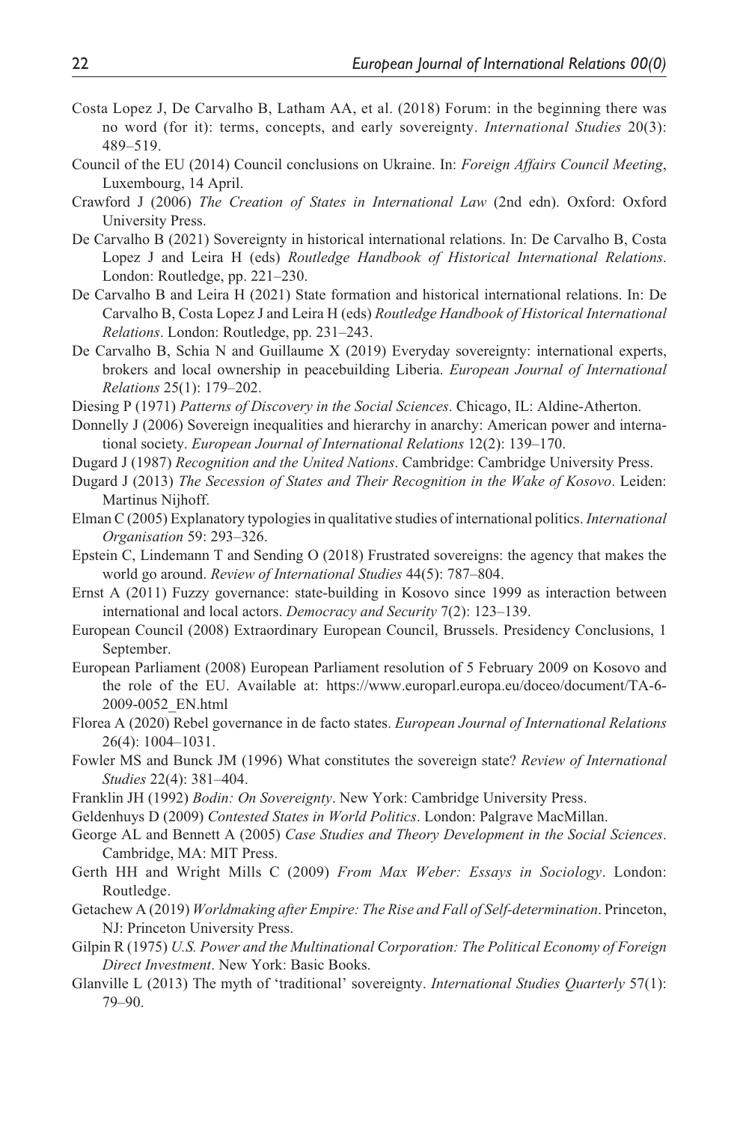- Costa Lopez J, De Carvalho B, Latham AA, et al. (2018) Forum: in the beginning there was no word (for it): terms, concepts, and early sovereignty. *International Studies* 20(3): 489–519.
- Council of the EU (2014) Council conclusions on Ukraine. In: *Foreign Affairs Council Meeting*, Luxembourg, 14 April.
- Crawford J (2006) *The Creation of States in International Law* (2nd edn). Oxford: Oxford University Press.
- De Carvalho B (2021) Sovereignty in historical international relations. In: De Carvalho B, Costa Lopez J and Leira H (eds) *Routledge Handbook of Historical International Relations*. London: Routledge, pp. 221–230.
- De Carvalho B and Leira H (2021) State formation and historical international relations. In: De Carvalho B, Costa Lopez J and Leira H (eds) *Routledge Handbook of Historical International Relations*. London: Routledge, pp. 231–243.
- De Carvalho B, Schia N and Guillaume X (2019) Everyday sovereignty: international experts, brokers and local ownership in peacebuilding Liberia. *European Journal of International Relations* 25(1): 179–202.
- Diesing P (1971) *Patterns of Discovery in the Social Sciences*. Chicago, IL: Aldine-Atherton.
- Donnelly J (2006) Sovereign inequalities and hierarchy in anarchy: American power and international society. *European Journal of International Relations* 12(2): 139–170.
- Dugard J (1987) *Recognition and the United Nations*. Cambridge: Cambridge University Press.
- Dugard J (2013) *The Secession of States and Their Recognition in the Wake of Kosovo*. Leiden: Martinus Nijhoff.
- Elman C (2005) Explanatory typologies in qualitative studies of international politics. *International Organisation* 59: 293–326.
- Epstein C, Lindemann T and Sending O (2018) Frustrated sovereigns: the agency that makes the world go around. *Review of International Studies* 44(5): 787–804.
- Ernst A (2011) Fuzzy governance: state-building in Kosovo since 1999 as interaction between international and local actors. *Democracy and Security* 7(2): 123–139.
- European Council (2008) Extraordinary European Council, Brussels. Presidency Conclusions, 1 September.
- European Parliament (2008) European Parliament resolution of 5 February 2009 on Kosovo and the role of the EU. Available at: [https://www.europarl.europa.eu/doceo/document/TA-6-](https://www.europarl.europa.eu/doceo/document/TA-6-2009-0052_EN.html) [2009-0052\\_EN.html](https://www.europarl.europa.eu/doceo/document/TA-6-2009-0052_EN.html)
- Florea A (2020) Rebel governance in de facto states. *European Journal of International Relations* 26(4): 1004–1031.
- Fowler MS and Bunck JM (1996) What constitutes the sovereign state? *Review of International Studies* 22(4): 381–404.
- Franklin JH (1992) *Bodin: On Sovereignty*. New York: Cambridge University Press.
- Geldenhuys D (2009) *Contested States in World Politics*. London: Palgrave MacMillan.
- George AL and Bennett A (2005) *Case Studies and Theory Development in the Social Sciences*. Cambridge, MA: MIT Press.
- Gerth HH and Wright Mills C (2009) *From Max Weber: Essays in Sociology*. London: Routledge.
- Getachew A (2019) *Worldmaking after Empire: The Rise and Fall of Self-determination*. Princeton, NJ: Princeton University Press.
- Gilpin R (1975) *U.S. Power and the Multinational Corporation: The Political Economy of Foreign Direct Investment*. New York: Basic Books.
- Glanville L (2013) The myth of 'traditional' sovereignty. *International Studies Quarterly* 57(1): 79–90.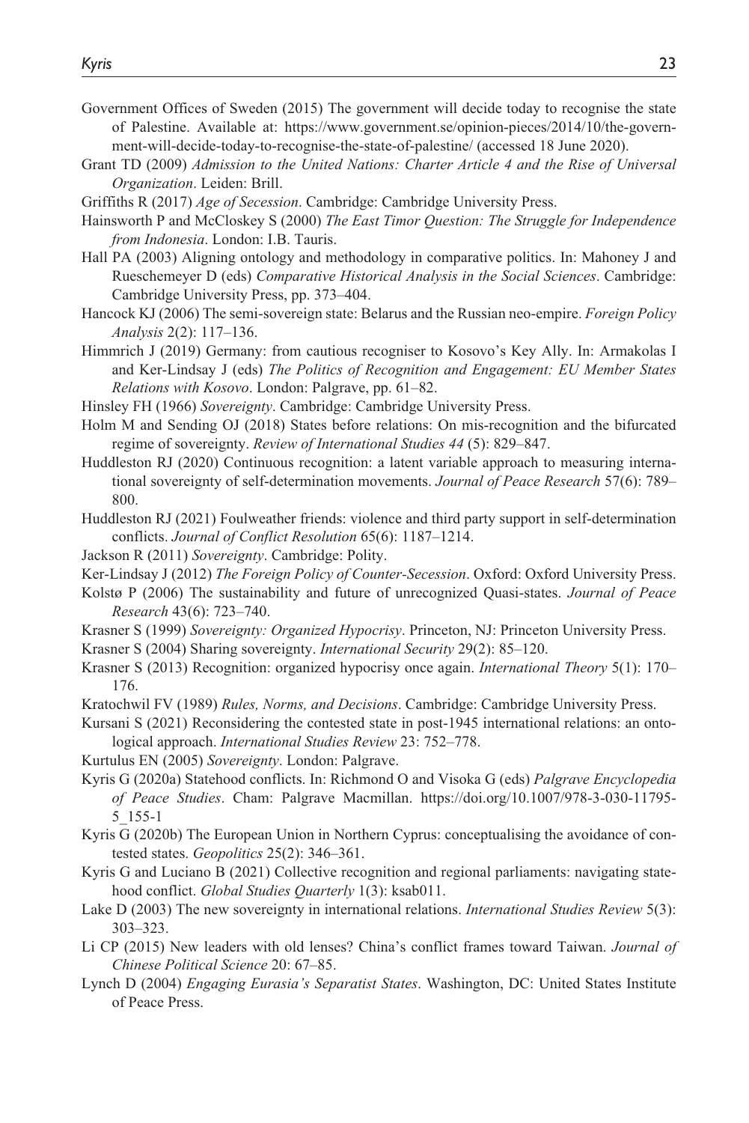- Government Offices of Sweden (2015) The government will decide today to recognise the state of Palestine. Available at: [https://www.government.se/opinion-pieces/2014/10/the-govern](https://www.government.se/opinion-pieces/2014/10/the-government-will-decide-today-to-recognise-the-state-of-palestine/)[ment-will-decide-today-to-recognise-the-state-of-palestine/](https://www.government.se/opinion-pieces/2014/10/the-government-will-decide-today-to-recognise-the-state-of-palestine/) (accessed 18 June 2020).
- Grant TD (2009) *Admission to the United Nations: Charter Article 4 and the Rise of Universal Organization*. Leiden: Brill.
- Griffiths R (2017) *Age of Secession*. Cambridge: Cambridge University Press.
- Hainsworth P and McCloskey S (2000) *The East Timor Question: The Struggle for Independence from Indonesia*. London: I.B. Tauris.
- Hall PA (2003) Aligning ontology and methodology in comparative politics. In: Mahoney J and Rueschemeyer D (eds) *Comparative Historical Analysis in the Social Sciences*. Cambridge: Cambridge University Press, pp. 373–404.
- Hancock KJ (2006) The semi-sovereign state: Belarus and the Russian neo-empire. *Foreign Policy Analysis* 2(2): 117–136.
- Himmrich J (2019) Germany: from cautious recogniser to Kosovo's Key Ally. In: Armakolas I and Ker-Lindsay J (eds) *The Politics of Recognition and Engagement: EU Member States Relations with Kosovo*. London: Palgrave, pp. 61–82.
- Hinsley FH (1966) *Sovereignty*. Cambridge: Cambridge University Press.
- Holm M and Sending OJ (2018) States before relations: On mis-recognition and the bifurcated regime of sovereignty. *Review of International Studies 44* (5): 829–847.
- Huddleston RJ (2020) Continuous recognition: a latent variable approach to measuring international sovereignty of self-determination movements. *Journal of Peace Research* 57(6): 789– 800.
- Huddleston RJ (2021) Foulweather friends: violence and third party support in self-determination conflicts. *Journal of Conflict Resolution* 65(6): 1187–1214.
- Jackson R (2011) *Sovereignty*. Cambridge: Polity.
- Ker-Lindsay J (2012) *The Foreign Policy of Counter-Secession*. Oxford: Oxford University Press.
- Kolstø P (2006) The sustainability and future of unrecognized Quasi-states. *Journal of Peace Research* 43(6): 723–740.
- Krasner S (1999) *Sovereignty: Organized Hypocrisy*. Princeton, NJ: Princeton University Press.
- Krasner S (2004) Sharing sovereignty. *International Security* 29(2): 85–120.
- Krasner S (2013) Recognition: organized hypocrisy once again. *International Theory* 5(1): 170– 176.
- Kratochwil FV (1989) *Rules, Norms, and Decisions*. Cambridge: Cambridge University Press.

Kursani S (2021) Reconsidering the contested state in post-1945 international relations: an ontological approach. *International Studies Review* 23: 752–778.

- Kurtulus EN (2005) *Sovereignty*. London: Palgrave.
- Kyris G (2020a) Statehood conflicts. In: Richmond O and Visoka G (eds) *Palgrave Encyclopedia of Peace Studies*. Cham: Palgrave Macmillan. [https://doi.org/10.1007/978-3-030-11795-](https://doi.org/10.1007/978-3-030-11795-5_155-1) [5\\_155-1](https://doi.org/10.1007/978-3-030-11795-5_155-1)
- Kyris G (2020b) The European Union in Northern Cyprus: conceptualising the avoidance of contested states. *Geopolitics* 25(2): 346–361.
- Kyris G and Luciano B (2021) Collective recognition and regional parliaments: navigating statehood conflict. *Global Studies Quarterly* 1(3): ksab011.
- Lake D (2003) The new sovereignty in international relations. *International Studies Review* 5(3): 303–323.
- Li CP (2015) New leaders with old lenses? China's conflict frames toward Taiwan. *Journal of Chinese Political Science* 20: 67–85.
- Lynch D (2004) *Engaging Eurasia's Separatist States*. Washington, DC: United States Institute of Peace Press.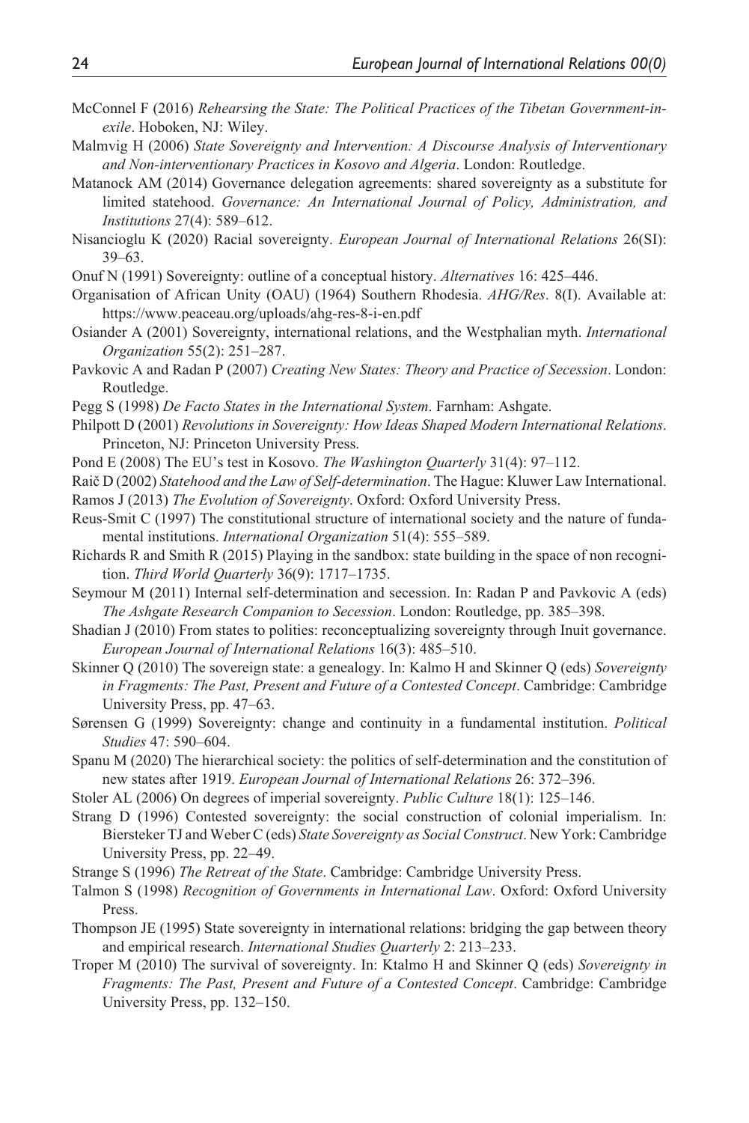- McConnel F (2016) *Rehearsing the State: The Political Practices of the Tibetan Government-inexile*. Hoboken, NJ: Wiley.
- Malmvig H (2006) *State Sovereignty and Intervention: A Discourse Analysis of Interventionary and Non-interventionary Practices in Kosovo and Algeria*. London: Routledge.
- Matanock AM (2014) Governance delegation agreements: shared sovereignty as a substitute for limited statehood. *Governance: An International Journal of Policy, Administration, and Institutions* 27(4): 589–612.
- Nisancioglu K (2020) Racial sovereignty. *European Journal of International Relations* 26(SI): 39–63.
- Onuf N (1991) Sovereignty: outline of a conceptual history. *Alternatives* 16: 425–446.
- Organisation of African Unity (OAU) (1964) Southern Rhodesia. *AHG/Res*. 8(I). Available at: <https://www.peaceau.org/uploads/ahg-res-8-i-en.pdf>
- Osiander A (2001) Sovereignty, international relations, and the Westphalian myth. *International Organization* 55(2): 251–287.
- Pavkovic A and Radan P (2007) *Creating New States: Theory and Practice of Secession*. London: Routledge.
- Pegg S (1998) *De Facto States in the International System*. Farnham: Ashgate.
- Philpott D (2001) *Revolutions in Sovereignty: How Ideas Shaped Modern International Relations*. Princeton, NJ: Princeton University Press.
- Pond E (2008) The EU's test in Kosovo. *The Washington Quarterly* 31(4): 97–112.
- Raič D (2002) *Statehood and the Law of Self-determination*. The Hague: Kluwer Law International.
- Ramos J (2013) *The Evolution of Sovereignty*. Oxford: Oxford University Press.
- Reus-Smit C (1997) The constitutional structure of international society and the nature of fundamental institutions. *International Organization* 51(4): 555–589.
- Richards R and Smith R (2015) Playing in the sandbox: state building in the space of non recognition. *Third World Quarterly* 36(9): 1717–1735.
- Seymour M (2011) Internal self-determination and secession. In: Radan P and Pavkovic A (eds) *The Ashgate Research Companion to Secession*. London: Routledge, pp. 385–398.
- Shadian J (2010) From states to polities: reconceptualizing sovereignty through Inuit governance. *European Journal of International Relations* 16(3): 485–510.
- Skinner Q (2010) The sovereign state: a genealogy. In: Kalmo H and Skinner Q (eds) *Sovereignty in Fragments: The Past, Present and Future of a Contested Concept*. Cambridge: Cambridge University Press, pp. 47–63.
- Sørensen G (1999) Sovereignty: change and continuity in a fundamental institution. *Political Studies* 47: 590–604.
- Spanu M (2020) The hierarchical society: the politics of self-determination and the constitution of new states after 1919. *European Journal of International Relations* 26: 372–396.
- Stoler AL (2006) On degrees of imperial sovereignty. *Public Culture* 18(1): 125–146.
- Strang D (1996) Contested sovereignty: the social construction of colonial imperialism. In: Biersteker TJ and Weber C (eds) *State Sovereignty as Social Construct*. New York: Cambridge University Press, pp. 22–49.
- Strange S (1996) *The Retreat of the State*. Cambridge: Cambridge University Press.
- Talmon S (1998) *Recognition of Governments in International Law*. Oxford: Oxford University Press.
- Thompson JE (1995) State sovereignty in international relations: bridging the gap between theory and empirical research. *International Studies Quarterly* 2: 213–233.
- Troper M (2010) The survival of sovereignty. In: Ktalmo H and Skinner Q (eds) *Sovereignty in Fragments: The Past, Present and Future of a Contested Concept*. Cambridge: Cambridge University Press, pp. 132–150.